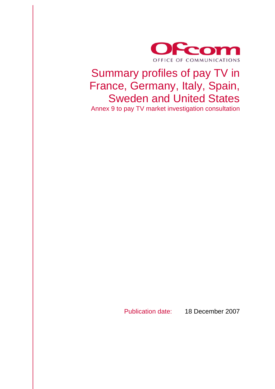

# Summary profiles of pay TV in France, Germany, Italy, Spain, Sweden and United States

Annex 9 to pay TV market investigation consultation

Publication date: 18 December 2007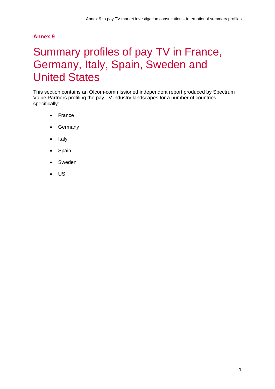#### **Annex 9**

# Summary profiles of pay TV in France, Germany, Italy, Spain, Sweden and United States

This section contains an Ofcom-commissioned independent report produced by Spectrum Value Partners profiling the pay TV industry landscapes for a number of countries, specifically:

- France
- Germany
- Italy
- Spain
- Sweden
- US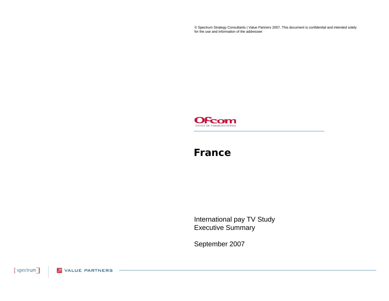© Spectrum Strategy Consultants | Value Partners 2007. This document is confidential and intended solely for the use and information of the addressee



#### **France**

International pay TV Study Executive Summary

September 2007

{spectrum] **2** VALUE PARTNERS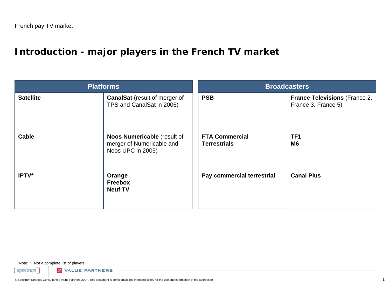# **Introduction - major players in the French TV market**

| <b>Platforms</b> |                                                                               | <b>Broadcasters</b>                          |                                                             |  |
|------------------|-------------------------------------------------------------------------------|----------------------------------------------|-------------------------------------------------------------|--|
| <b>Satellite</b> | <b>CanalSat</b> (result of merger of<br>TPS and CanalSat in 2006)             | <b>PSB</b>                                   | <b>France Televisions (France 2,</b><br>France 3, France 5) |  |
| <b>Cable</b>     | Noos Numericable (result of<br>merger of Numericable and<br>Noos UPC in 2005) | <b>FTA Commercial</b><br><b>Terrestrials</b> | TF <sub>1</sub><br>M <sub>6</sub>                           |  |
| IPTV*            | Orange<br><b>Freebox</b><br><b>Neuf TV</b>                                    | Pay commercial terrestrial                   | <b>Canal Plus</b>                                           |  |

Note: \* Not a complete list of players

 $spectrum$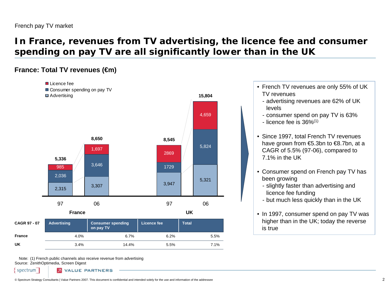# **In France, revenues from TV advertising, the licence fee and consumer spending on pay TV are all significantly lower than in the UK**

#### **France: Total TV revenues (€m)**



Note:(1) French public channels also receive revenue from advertising Source: ZenithOptimedia, Screen Digest

spectrum

**UK**

- French TV revenues are only 55% of UK TV revenues
	- advertising revenues are 62% of UK levels
	- consumer spend on pay TV is 63%
	- licence fee is 36% $^{\left(1\right)}$
- Since 1997, total French TV revenues have grown from €5.3bn to €8.7bn, at a CAGR of 5.5% (97-06), compared to 7.1% in the UK
- Consumer spend on French pay TV has been growing
	- slightly faster than advertising and licence fee funding
	- but much less quickly than in the UK
- In 1997, consumer spend on pay TV was higher than in the UK; today the reverse is true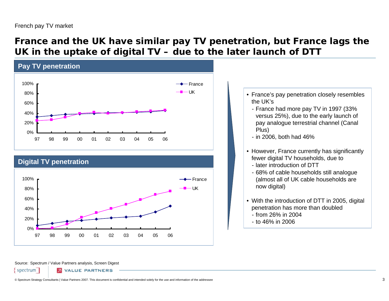### **France and the UK have similar pay TV penetration, but France lags the UK in the uptake of digital TV – due to the later launch of DTT**



#### Source: Spectrum / Value Partners analysis, Screen Digest

spectrum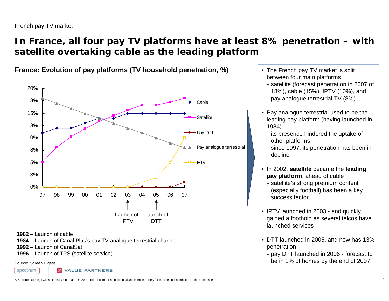#### French pay TV market

### **In France, all four pay TV platforms have at least 8% penetration – with satellite overtaking cable as the leading platform**



**France: Evolution of pay platforms (TV household penetration, %)**

**1982** – Launch of cable

- **1984 –** Launch of Canal Plus's pay TV analogue terrestrial channel
- **1992** Launch of CanalSat

**1996** – Launch of TPS (satellite service)

Source: Screen Digest

spectrum **VALUE PARTNERS** 

- The French pay TV market is split between four main platforms
	- satellite (forecast penetration in 2007 of 18%), cable (15%), IPTV (10%), and pay analogue terrestrial TV (8%)
- Pay analogue terrestrial used to be the leading pay platform (having launched in 1984)
	- its presence hindered the uptake of other platforms
	- since 1997, its penetration has been in decline
- In 2002, **satellite** became the **leading pay platform**, ahead of cable
	- satellite's strong premium content (especially football) has been a key success factor
- IPTV launched in 2003 and quickly gained a foothold as several telcos have launched services
- DTT launched in 2005, and now has 13% penetration
	- pay DTT launched in 2006 forecast to be in 1% of homes by the end of 2007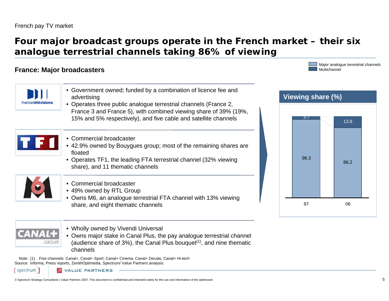### **Four major broadcast groups operate in the French market – their six analogue terrestrial channels taking 86% of viewing**

#### **France: Major broadcasters**



• Owns major stake in Canal Plus, the pay analogue terrestrial channel (audience share of  $3\%$ ), the Canal Plus bouquet<sup>(1)</sup>, and nine thematic channels

Note:(1) Five channels: Canal+, Canal+ Sport, Canal+ Cinema, Canal+ Decale, Canal+ Hi-tech Source: Informa, Press reports, ZenithOptimedia, Spectrum/ Value Partners analysis

spectrum



Major analogue terrestrial channels

Multichannel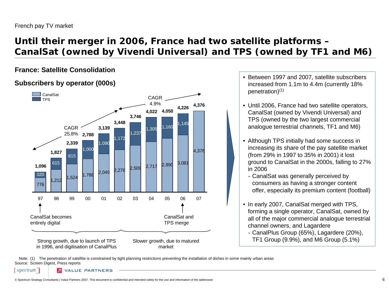# **Until their merger in 2006, France had two satellite platforms – CanalSat (owned by Vivendi Universal) and TPS (owned by TF1 and M6)**

#### **France: Satellite Consolidation**

#### **Subscribers by operator (000s)**



- Between 1997 and 2007, satellite subscribers increased from 1.1m to 4.4m (currently 18% penetration)(1)
- Until 2006, France had two satellite operators, CanalSat (owned by Vivendi Universal) and TPS (owned by the two largest commercial analogue terrestrial channels, TF1 and M6)
- Although TPS initially had some success in increasing its share of the pay satellite market (from 29% in 1997 to 35% in 2001) it lost ground to CanalSat in the 2000s, falling to 27% in 2006
	- CanalSat was generally perceived by consumers as having a stronger content offer, especially its premium content (football)
- In early 2007, CanalSat merged with TPS, forming a single operator, CanalSat, owned by all of the major commercial analogue terrestrial channel owners, and Lagardere
	- CanalPlus Group (65%), Lagardere (20%), TF1 Group (9.9%), and M6 Group (5.1%)

Note: (1) The penetration of satellite is constrained by tight planning restrictions preventing the installation of dishes in some mainly urban areas Source: Screen Digest, Press reports

spectrum

**VALUE PARTNERS**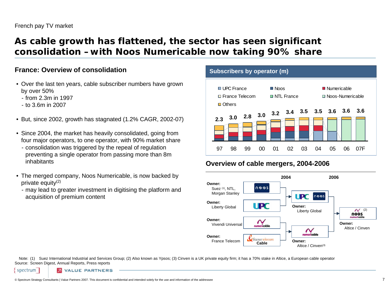### **As cable growth has flattened, the sector has seen significant consolidation –with Noos Numericable now taking 90% share**

#### **France: Overview of consolidation**

- Over the last ten years, cable subscriber numbers have grown by over 50%
	- from 2.3m in 1997
	- to 3.6m in 2007
- But, since 2002, growth has stagnated (1.2% CAGR, 2002-07)
- Since 2004, the market has heavily consolidated, going from four major operators, to one operator, with 90% market share
	- consolidation was triggered by the repeal of regulation preventing a single operator from passing more than 8m inhabitants
- The merged company, Noos Numericable, is now backed by private equity $(2)$ 
	- may lead to greater investment in digitising the platform and acquisition of premium content

#### **Subscribers by operator (m)**



#### **Overview of cable mergers, 2004-2006**



Note: (1) Suez International Industrial and Services Group; (2) Also known as Ypsos; (3) Cinven is a UK private equity firm; it has a 70% stake in Altice, a European cable operator Source: Screen Digest, Annual Reports, Press reports

spectrum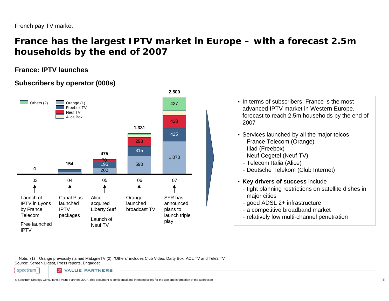### **France has the largest IPTV market in Europe – with a forecast 2.5m households by the end of 2007**

#### **France: IPTV launches**

#### **Subscribers by operator (000s)**



- In terms of subscribers, France is the most advanced IPTV market in Western Europe, forecast to reach 2.5m households by the end of 2007
- Services launched by all the major telcos
	- France Telecom (Orange)
	- Iliad (Freebox)
	- Neuf Cegetel (Neuf TV)
	- Telecom Italia (Alice)
	- Deutsche Telekom (Club Internet)
- **Key drivers of success** include
	- tight planning restrictions on satellite dishes in major cities
	- good ADSL 2+ infrastructure
	- a competitive broadband market
	- relatively low multi-channel penetration

Note: (1) Orange previously named MaLigneTV (2) "Others" includes Club Video, Darty Box, AOL TV and Tele2 TV Source: Screen Digest, Press reports, Engadget

spectrum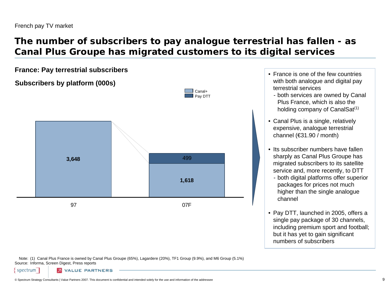# **The number of subscribers to pay analogue terrestrial has fallen - as Canal Plus Groupe has migrated customers to its digital services**

Canal+

**France: Pay terrestrial subscribers** •

**Subscribers by platform (000s)**



• France is one of the few countries with both analogue and digital pay terrestrial services

- both services are owned by Canal Plus France, which is also the holding company of CanalSat<sup>(1)</sup>
- Canal Plus is a single, relatively expensive, analogue terrestrial channel (€31.90 / month)
- Its subscriber numbers have fallen sharply as Canal Plus Groupe has migrated subscribers to its satellite service and, more recently, to DTT
	- both digital platforms offer superior packages for prices not much higher than the single analogue channel
- Pay DTT, launched in 2005, offers a single pay package of 30 channels, including premium sport and football; but it has yet to gain significant numbers of subscribers

Note: (1) Canal Plus France is owned by Canal Plus Groupe (65%), Lagardere (20%), TF1 Group (9.9%), and M6 Group (5.1%) Source: Informa, Screen Digest, Press reports

spectrum

**VALUE PARTNERS**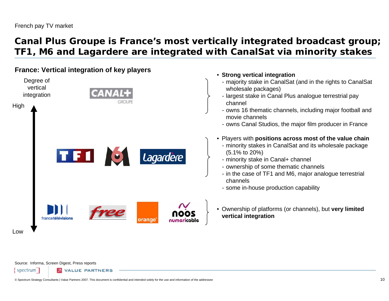### **Canal Plus Groupe is France's most vertically integrated broadcast group; TF1, M6 and Lagardere are integrated with CanalSat via minority stakes**

#### **France: Vertical integration of key players**



Source: Informa, Screen Digest, Press reports

spectrum **VALUE PARTNERS**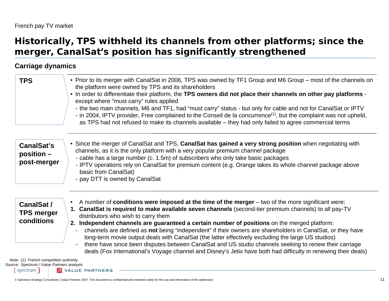### **Historically, TPS withheld its channels from other platforms; since the merger, CanalSat's position has significantly strengthened**

#### **Carriage dynamics**

| <b>TPS</b>                                    | • Prior to its merger with CanalSat in 2006, TPS was owned by TF1 Group and M6 Group – most of the channels on<br>the platform were owned by TPS and its shareholders<br>. In order to differentiate their platform, the TPS owners did not place their channels on other pay platforms -<br>except where "must carry" rules applied<br>- the two main channels, M6 and TF1, had "must carry" status - but only for cable and not for CanalSat or IPTV<br>- in 2004, IPTV provider, Free complained to the Conseil de la concurrence <sup>(1)</sup> , but the complaint was not upheld,<br>as TPS had not refused to make its channels available – they had only failed to agree commercial terms |
|-----------------------------------------------|---------------------------------------------------------------------------------------------------------------------------------------------------------------------------------------------------------------------------------------------------------------------------------------------------------------------------------------------------------------------------------------------------------------------------------------------------------------------------------------------------------------------------------------------------------------------------------------------------------------------------------------------------------------------------------------------------|
| CanalSat's<br>$position -$<br>post-merger     | • Since the merger of CanalSat and TPS, CanalSat has gained a very strong position when negotiating with<br>channels, as it is the only platform with a very popular premium channel package<br>- cable has a large number (c. 1.5m) of subscribers who only take basic packages<br>- IPTV operations rely on CanalSat for premium content (e.g. Orange takes its whole channel package above<br>basic from CanalSat)<br>- pay DTT is owned by CanalSat                                                                                                                                                                                                                                           |
| CanalSat /<br><b>TPS merger</b><br>conditions | A number of conditions were imposed at the time of the merger – two of the more significant were:<br>$\bullet$<br>1. CanalSat is required to make available seven channels (second-tier premium channels) to all pay-TV<br>distributors who wish to carry them<br>2. Independent channels are guaranteed a certain number of positions on the merged platform:<br>channels are defined as not being "independent" if their owners are shareholders in CanalSat, or they have<br>long-term movie output deals with CanalSat (the latter effectively excluding the large US studios)                                                                                                                |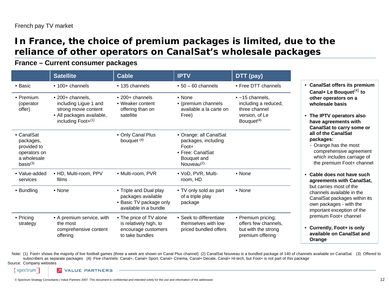### **In France, the choice of premium packages is limited, due to the reliance of other operators on CanalSat's wholesale packages**

#### **France – Current consumer packages**

|                                                                                               | <b>Satellite</b>                                                                                                       | <b>Cable</b>                                                                                     | <b>IPTV</b>                                                                                                | DTT (pay)                                                                                                    |
|-----------------------------------------------------------------------------------------------|------------------------------------------------------------------------------------------------------------------------|--------------------------------------------------------------------------------------------------|------------------------------------------------------------------------------------------------------------|--------------------------------------------------------------------------------------------------------------|
| • Basic                                                                                       | • 100+ channels                                                                                                        | • 135 channels                                                                                   | $\cdot$ 50 - 60 channels                                                                                   | • Free DTT channels                                                                                          |
| • Premium<br>(operator<br>offer)                                                              | • 200+ channels,<br>including Ligue 1 and<br>strong movie content<br>· All packages available,<br>including $Foot+(1)$ | $\cdot$ 200+ channels<br>• Weaker content<br>offering than on<br>satellite                       | $\bullet$ None<br>• (premium channels<br>available a la carte on<br>Free)                                  | $\bullet$ ~15 channels,<br>including a reduced,<br>three channel<br>version, of Le<br>Bouquet <sup>(4)</sup> |
| • CanalSat<br>packages,<br>provided to<br>operators on<br>a wholesale<br>basis <sup>(3)</sup> |                                                                                                                        | • Only Canal Plus<br>bouquet $(4)$                                                               | • Orange: all CanalSat<br>packages, including<br>Foot+<br>• Free: CanalSat<br>Bouquet and<br>Nouveau $(2)$ |                                                                                                              |
| • Value-added<br>services                                                                     | • HD, Multi-room, PPV<br>films                                                                                         | • Multi-room, PVR                                                                                | · VoD, PVR, Multi-<br>room, HD                                                                             | • None                                                                                                       |
| • Bundling                                                                                    | $\bullet$ None                                                                                                         | • Triple and Dual play<br>packages available<br>• Basic TV package only<br>available in a bundle | • TV only sold as part<br>of a triple play<br>package                                                      | $\bullet$ None                                                                                               |
| $\bullet$ Pricing<br>strategy                                                                 | • A premium service, with<br>the most<br>comprehensive content<br>offering                                             | • The price of TV alone<br>is relatively high, to<br>encourage customers<br>to take bundles      | • Seek to differentiate<br>themselves with low<br>priced bundled offers                                    | • Premium pricing;<br>offers few channels,<br>but with the strong<br>premium offering                        |

• **CanalSat offers its premium Canal+ Le Bouquet**(4) **to other operators on a wholesale basis**

- **The IPTV operators also have agreements with CanalSat to carry some or all of the CanalSat packages:**
	- Orange has the most comprehensive agreement which includes carriage of the premium Foot+ channel
- **Cable does not have such agreements with CanalSat,** but carries most of the channels available in the CanalSat packages within its own packages - with the important exception of the premium Foot+ channel
- **Currently, Foot+ is only available on CanalSat and Orange**

Note: (1) Foot+ shows the majority of live football games (three a week are shown on Canal Plus channel) (2) CanalSat Nouveau is a bundled package of 140 of channels available on CanalSat (3) Offered to subscribers as separate packages (4) Five channels: Canal+, Canal+ Sport, Canal+ Cinema, Canal+ Decale, Canal+ Hi-tech, but Foot+ is not part of this package

Source: Company websites

spectrum

**VALUE PARTNERS** 

© Spectrum Strategy Consultants | Value Partners 2007. This document is confidential and intended solely for the use and information of the addressee 12 and information of the addressee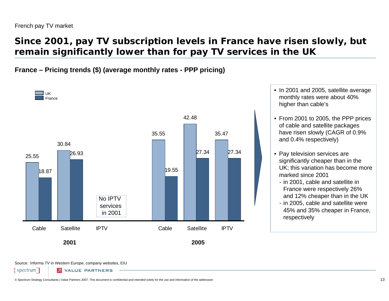### **Since 2001, pay TV subscription levels in France have risen slowly, but remain significantly lower than for pay TV services in the UK**

**France – Pricing trends (\$) (average monthly rates - PPP pricing)**



- In 2001 and 2005, satellite average monthly rates were about 40% higher than cable's
- From 2001 to 2005, the PPP prices of cable and satellite packages have risen slowly (CAGR of 0.9% and 0.4% respectively)
- Pay television services are significantly cheaper than in the UK; this variation has become more marked since 2001
	- in 2001, cable and satellite in France were respectively 26% and 12% cheaper than in the UK
- in 2005, cable and satellite were 45% and 35% cheaper in France, respectively

Source: Informa *TV in Western Europe*, company websites, EIU

spectrum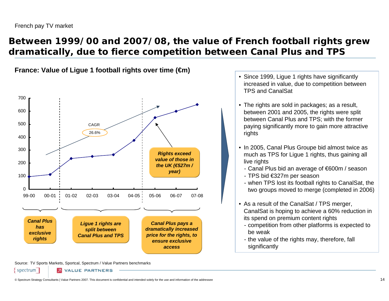### **Between 1999/00 and 2007/08, the value of French football rights grew dramatically, due to fierce competition between Canal Plus and TPS**

**France: Value of Ligue 1 football rights over time (€m)**



- Since 1999, Ligue 1 rights have significantly increased in value, due to competition between TPS and CanalSat
- The rights are sold in packages; as a result, between 2001 and 2005, the rights were split between Canal Plus and TPS; with the former paying significantly more to gain more attractive rights
- In 2005, Canal Plus Groupe bid almost twice as much as TPS for Ligue 1 rights, thus gaining all live rights
	- Canal Plus bid an average of €600m / season
	- TPS bid €327m per season
	- when TPS lost its football rights to CanalSat, the two groups moved to merge (completed in 2006)
- As a result of the CanalSat / TPS merger, CanalSat is hoping to achieve a 60% reduction in its spend on premium content rights
	- competition from other platforms is expected to be weak
	- the value of the rights may, therefore, fall significantly

Source: TV Sports Markets, Sportcal, Spectrum / Value Partners benchmarks

spectrum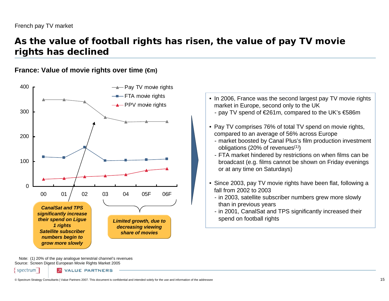### **As the value of football rights has risen, the value of pay TV movie rights has declined**

#### **France: Value of movie rights over time (€m)**



- In 2006, France was the second largest pay TV movie rights market in Europe, second only to the UK
	- pay TV spend of €261m, compared to the UK's €586m
- Pay TV comprises 76% of total TV spend on movie rights, compared to an average of 56% across Europe
	- market boosted by Canal Plus's film production investment obligations (20% of revenues $(1)$ )
	- FTA market hindered by restrictions on when films can be broadcast (e.g. films cannot be shown on Friday evenings or at any time on Saturdays)
- Since 2003, pay TV movie rights have been flat, following a fall from 2002 to 2003
	- in 2003, satellite subscriber numbers grew more slowly than in previous years
	- in 2001, CanalSat and TPS significantly increased their

Note: (1) 20% of the pay analogue terrestrial channel's revenues Source: Screen Digest European Movie Rights Market 2005

spectrum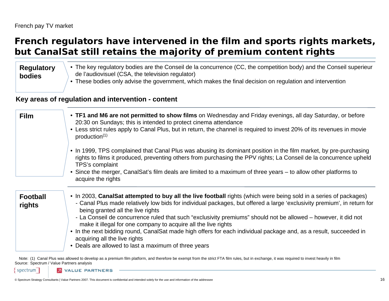# **French regulators have intervened in the film and sports rights markets, but CanalSat still retains the majority of premium content rights**

#### **Regulatory bodies**

- The key regulatory bodies are the Conseil de la concurrence (CC, the competition body) and the Conseil superieur de l'audiovisuel (CSA, the television regulator)
- These bodies only advise the government, which makes the final decision on regulation and intervention

#### **Key areas of regulation and intervention - content**

| <b>Film</b>               | • TF1 and M6 are not permitted to show films on Wednesday and Friday evenings, all day Saturday, or before<br>20:30 on Sundays; this is intended to protect cinema attendance<br>• Less strict rules apply to Canal Plus, but in return, the channel is required to invest 20% of its revenues in movie<br>production <sup>(1)</sup>                                                                                                                                                                                                                                                                                                                                                |
|---------------------------|-------------------------------------------------------------------------------------------------------------------------------------------------------------------------------------------------------------------------------------------------------------------------------------------------------------------------------------------------------------------------------------------------------------------------------------------------------------------------------------------------------------------------------------------------------------------------------------------------------------------------------------------------------------------------------------|
|                           | • In 1999, TPS complained that Canal Plus was abusing its dominant position in the film market, by pre-purchasing<br>rights to films it produced, preventing others from purchasing the PPV rights; La Conseil de la concurrence upheld<br>TPS's complaint<br>• Since the merger, CanalSat's film deals are limited to a maximum of three years - to allow other platforms to<br>acquire the rights                                                                                                                                                                                                                                                                                 |
| <b>Football</b><br>rights | • In 2003, CanalSat attempted to buy all the live football rights (which were being sold in a series of packages)<br>- Canal Plus made relatively low bids for individual packages, but offered a large 'exclusivity premium', in return for<br>being granted all the live rights<br>- La Conseil de concurrence ruled that such "exclusivity premiums" should not be allowed – however, it did not<br>make it illegal for one company to acquire all the live rights<br>• In the next bidding round, CanalSat made high offers for each individual package and, as a result, succeeded in<br>acquiring all the live rights<br>• Deals are allowed to last a maximum of three years |

Note: (1) Canal Plus was allowed to develop as a premium film platform, and therefore be exempt from the strict FTA film rules, but in exchange, it was required to invest heavily in film Source: Spectrum / Value Partners analysis

spectrum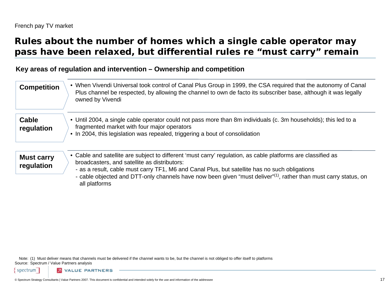### **Rules about the number of homes which a single cable operator may pass have been relaxed, but differential rules re "must carry" remain**

#### **Key areas of regulation and intervention – Ownership and competition**

| <b>Competition</b>              | • When Vivendi Universal took control of Canal Plus Group in 1999, the CSA required that the autonomy of Canal<br>Plus channel be respected, by allowing the channel to own de facto its subscriber base, although it was legally<br>owned by Vivendi                                                                                                                                                          |
|---------------------------------|----------------------------------------------------------------------------------------------------------------------------------------------------------------------------------------------------------------------------------------------------------------------------------------------------------------------------------------------------------------------------------------------------------------|
| <b>Cable</b><br>regulation      | • Until 2004, a single cable operator could not pass more than 8m individuals (c. 3m households); this led to a<br>fragmented market with four major operators<br>• In 2004, this legislation was repealed, triggering a bout of consolidation                                                                                                                                                                 |
| <b>Must carry</b><br>regulation | • Cable and satellite are subject to different 'must carry' regulation, as cable platforms are classified as<br>broadcasters, and satellite as distributors:<br>- as a result, cable must carry TF1, M6 and Canal Plus, but satellite has no such obligations<br>- cable objected and DTT-only channels have now been given "must deliver" <sup>(1)</sup> , rather than must carry status, on<br>all platforms |

Note: (1) Must deliver means that channels must be delivered if the channel wants to be, but the channel is not obliged to offer itself to platforms Source: Spectrum / Value Partners analysis

spectrum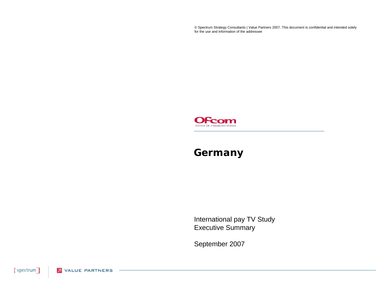© Spectrum Strategy Consultants | Value Partners 2007. This document is confidential and intended solely for the use and information of the addressee



### **Germany**

International pay TV Study Executive Summary

September 2007

{spectrum] **2** VALUE PARTNERS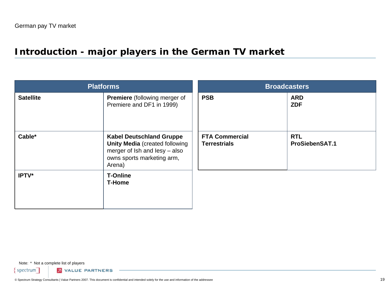# **Introduction - major players in the German TV market**

| <b>Platforms</b> |                                                                                                                                                   | <b>Broadcasters</b>                          |                                     |  |
|------------------|---------------------------------------------------------------------------------------------------------------------------------------------------|----------------------------------------------|-------------------------------------|--|
| <b>Satellite</b> | <b>Premiere</b> (following merger of<br>Premiere and DF1 in 1999)                                                                                 | <b>PSB</b>                                   | <b>ARD</b><br><b>ZDF</b>            |  |
| Cable*           | <b>Kabel Deutschland Gruppe</b><br><b>Unity Media (created following</b><br>merger of Ish and lesy - also<br>owns sports marketing arm,<br>Arena) | <b>FTA Commercial</b><br><b>Terrestrials</b> | <b>RTL</b><br><b>ProSiebenSAT.1</b> |  |
| IPTV*            | <b>T-Online</b><br><b>T-Home</b>                                                                                                                  |                                              |                                     |  |

Note: \* Not a complete list of players

 $spectrum$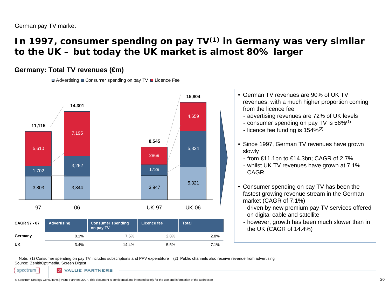### **In 1997, consumer spending on pay TV(1) in Germany was very similar to the UK – but today the UK market is almost 80% larger**

#### **Germany: Total TV revenues (€m)**

 $\Box$  Advertising  $\Box$  Consumer spending on pay TV  $\Box$  Licence Fee



- German TV revenues are 90% of UK TV revenues, with a much higher proportion coming from the licence fee
	- advertising revenues are 72% of UK levels
	- consumer spending on pay TV is 56% $^{\left(1\right)}$
	- licence fee funding is 154% $^{\left( 2\right) }$
- Since 1997, German TV revenues have grown slowly
	- from €11.1bn to €14.3bn; CAGR of 2.7%
	- whilst UK TV revenues have grown at 7.1% CAGR
- Consumer spending on pay TV has been the fastest growing revenue stream in the German market (CAGR of 7.1%)
	- driven by new premium pay TV services offered on digital cable and satellite
	- however, growth has been much slower than in the UK (CAGR of 14.4%)

Note: (1) Consumer spending on pay TV includes subscriptions and PPV expenditure (2) Public channels also receive revenue from advertising Source: ZenithOptimedia, Screen Digest

spectrum

**VALUE PARTNERS**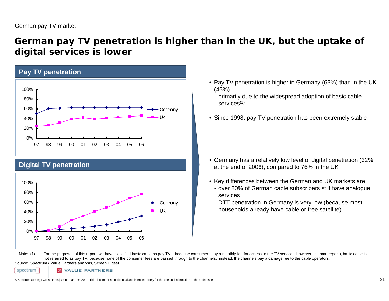### **German pay TV penetration is higher than in the UK, but the uptake of digital services is lower**



#### **Digital TV penetration**



- Pay TV penetration is higher in Germany (63%) than in the UK (46%)
	- primarily due to the widespread adoption of basic cable services(1)
- Since 1998, pay TV penetration has been extremely stable

- Germany has a relatively low level of digital penetration (32% at the end of 2006), compared to 76% in the UK
- Key differences between the German and UK markets are
	- over 80% of German cable subscribers still have analogue services
	- DTT penetration in Germany is very low (because most households already have cable or free satellite)

Note: (1) For the purposes of this report, we have classified basic cable as pay TV – because consumers pay a monthly fee for access to the TV service. However, in some reports, basic cable is not referred to as pay TV, because none of the consumer fees are passed through to the channels; instead, the channels pay a carriage fee to the cable operators.

Source: Spectrum / Value Partners analysis, Screen Digest

spectrum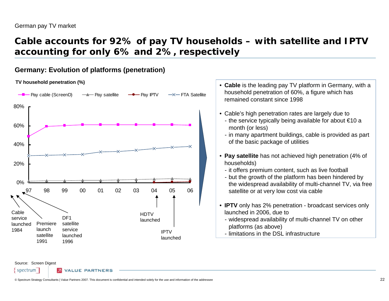### **Cable accounts for 92% of pay TV households – with satellite and IPTV accounting for only 6% and 2%, respectively**

#### **Germany: Evolution of platforms (penetration)**

#### **TV household penetration (%)** •



- **Cable** is the leading pay TV platform in Germany, with a household penetration of 60%, a figure which has remained constant since 1998
- Cable's high penetration rates are largely due to
	- the service typically being available for about €10 a month (or less)
	- in many apartment buildings, cable is provided as part of the basic package of utilities
- **Pay satellite** has not achieved high penetration (4% of households)
	- it offers premium content, such as live football
	- but the growth of the platform has been hindered by the widespread availability of multi-channel TV, via free satellite or at very low cost via cable
- **IPTV** only has 2% penetration broadcast services only launched in 2006, due to
	- widespread availability of multi-channel TV on other platforms (as above)
- limitations in the DSL infrastructure

Source: Screen Digest spectrum

LUE PARTNER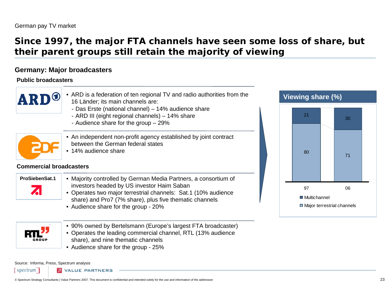# **Since 1997, the major FTA channels have seen some loss of share, but their parent groups still retain the majority of viewing**

#### **Germany: Major broadcasters**

**Public broadcasters**

| <b>ARD</b>                     | ARD is a federation of ten regional TV and radio authorities from the<br>16 Länder; its main channels are:                                                                                                                                                                         | <b>Viewing share (%)</b>    |                                  |
|--------------------------------|------------------------------------------------------------------------------------------------------------------------------------------------------------------------------------------------------------------------------------------------------------------------------------|-----------------------------|----------------------------------|
|                                | - Das Erste (national channel) - 14% audience share<br>- ARD III (eight regional channels) - 14% share<br>- Audience share for the group $-29\%$                                                                                                                                   | 21                          | 30                               |
| <b>Commercial broadcasters</b> | • An independent non-profit agency established by joint contract<br>between the German federal states<br>• 14% audience share                                                                                                                                                      | 80                          | 71                               |
| <b>ProSiebenSat.1</b><br>71    | • Majority controlled by German Media Partners, a consortium of<br>investors headed by US investor Haim Saban<br>• Operates two major terrestrial channels: Sat.1 (10% audience<br>share) and Pro7 (7% share), plus five thematic channels<br>• Audience share for the group - 20% | 97<br><b>■ Multichannel</b> | 06<br>Major terrestrial channels |



- 90% owned by Bertelsmann (Europe's largest FTA broadcaster)
- Operates the leading commercial channel, RTL (13% audience share), and nine thematic channels
- Audience share for the group 25%

Source: Informa, Press, Spectrum analysis

spectrum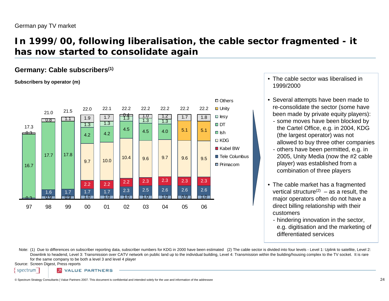# **In 1999/00, following liberalisation, the cable sector fragmented - it has now started to consolidate again**

#### **Germany: Cable subscribers(1)**

**Subscribers by operator (m)**



- The cable sector was liberalised in 1999/2000
- Several attempts have been made to re-consolidate the sector (some have been made by private equity players):
	- some moves have been blocked by the Cartel Office, e.g. in 2004, KDG (the largest operator) was not allowed to buy three other companies
- others have been permitted, e.g. in 2005, Unity Media (now the #2 cable player) was established from a combination of three players
- The cable market has a fragmented vertical structure<sup>(2)</sup> – as a result, the major operators often do not have a direct billing relationship with their customers
	- hindering innovation in the sector, e.g. digitisation and the marketing of differentiated services

Note: (1) Due to differences on subscriber reporting data, subscriber numbers for KDG in 2000 have been estimated (2) The cable sector is divided into four levels - Level 1: Uplink to satellite, Level 2: Downlink to headend, Level 3: Transmission over CATV network on public land up to the individual building, Level 4: Transmission within the building/housing complex to the TV socket. It is rare for the same company to be both a level 3 and level 4 player

Source: Screen Digest, Press reports

spectrum

**2 VALUE PARTNERS**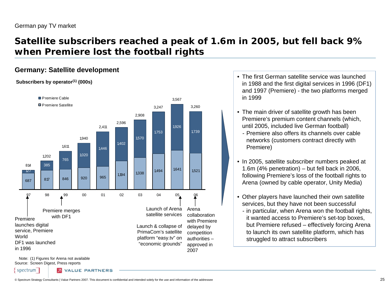### **Satellite subscribers reached a peak of 1.6m in 2005, but fell back 9% when Premiere lost the football rights**

#### **Germany: Satellite development**

#### **Subscribers by operator(1) (000s)**



- The first German satellite service was launched in 1988 and the first digital services in 1996 (DF1) and 1997 (Premiere) - the two platforms merged in 1999
- The main driver of satellite growth has been Premiere's premium content channels (which, until 2005, included live German football)
	- Premiere also offers its channels over cable networks (customers contract directly with Premiere)
- In 2005, satellite subscriber numbers peaked at 1.6m (4% penetration) – but fell back in 2006, following Premiere's loss of the football rights to Arena (owned by cable operator, Unity Media)
- Other players have launched their own satellite services, but they have not been successful
	- in particular, when Arena won the football rights, it wanted access to Premiere's set-top boxes, but Premiere refused – effectively forcing Arena to launch its own satellite platform, which has struggled to attract subscribers

Note:(1) Figures for Arena not available Source: Screen Digest, Press reports

spectrum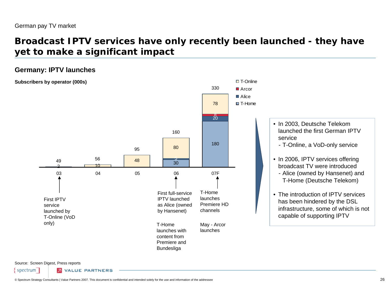### **Broadcast IPTV services have only recently been launched - they have yet to make a significant impact**

□ T-Online

#### **Germany: IPTV launches**





• In 2003, Deutsche Telekom launched the first German IPTV service- T-Online, a VoD-only service

- In 2006, IPTV services offering broadcast TV were introduced
	- Alice (owned by Hansenet) and T-Home (Deutsche Telekom)
- The introduction of IPTV services has been hindered by the DSL infrastructure, some of which is not capable of supporting IPTV

Source: Screen Digest, Press reports

spectrum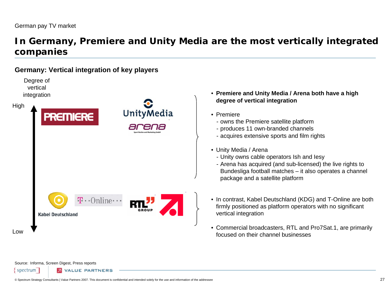### **In Germany, Premiere and Unity Media are the most vertically integrated companies**

#### **Germany: Vertical integration of key players**

Degree of vertical integration







- **Premiere and Unity Media / Arena both have a high degree of vertical integration**
- Premiere
	- owns the Premiere satellite platform
- produces 11 own-branded channels
- acquires extensive sports and film rights
- Unity Media / Arena
	- Unity owns cable operators Ish and Iesy
	- Arena has acquired (and sub-licensed) the live rights to Bundesliga football matches – it also operates a channel package and a satellite platform
- In contrast, Kabel Deutschland (KDG) and T-Online are both firmly positioned as platform operators with no significant vertical integration
- Commercial broadcasters, RTL and Pro7Sat.1, are primarily focused on their channel businesses

Source: Informa, Screen Digest, Press reports

spectrum

Low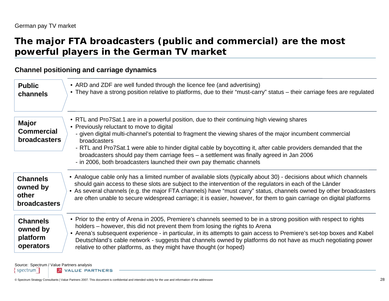### **The major FTA broadcasters (public and commercial) are the most powerful players in the German TV market**

#### **Channel positioning and carriage dynamics**

| <b>Public</b>                                            | • ARD and ZDF are well funded through the licence fee (and advertising)                                                                                                                                                                                                                                                                                                                                                                                                                                                                                        |
|----------------------------------------------------------|----------------------------------------------------------------------------------------------------------------------------------------------------------------------------------------------------------------------------------------------------------------------------------------------------------------------------------------------------------------------------------------------------------------------------------------------------------------------------------------------------------------------------------------------------------------|
| channels                                                 | • They have a strong position relative to platforms, due to their "must-carry" status – their carriage fees are regulated                                                                                                                                                                                                                                                                                                                                                                                                                                      |
| <b>Major</b><br><b>Commercial</b><br><b>broadcasters</b> | • RTL and Pro7Sat.1 are in a powerful position, due to their continuing high viewing shares<br>• Previously reluctant to move to digital<br>- given digital multi-channel's potential to fragment the viewing shares of the major incumbent commercial<br>broadcasters<br>- RTL and Pro7Sat.1 were able to hinder digital cable by boycotting it, after cable providers demanded that the<br>broadcasters should pay them carriage fees – a settlement was finally agreed in Jan 2006<br>- in 2006, both broadcasters launched their own pay thematic channels |
| <b>Channels</b>                                          | • Analogue cable only has a limited number of available slots (typically about 30) - decisions about which channels                                                                                                                                                                                                                                                                                                                                                                                                                                            |
| owned by                                                 | should gain access to these slots are subject to the intervention of the regulators in each of the Länder                                                                                                                                                                                                                                                                                                                                                                                                                                                      |
| other                                                    | • As several channels (e.g. the major FTA channels) have "must carry" status, channels owned by other broadcasters                                                                                                                                                                                                                                                                                                                                                                                                                                             |
| <b>broadcasters</b>                                      | are often unable to secure widespread carriage; it is easier, however, for them to gain carriage on digital platforms                                                                                                                                                                                                                                                                                                                                                                                                                                          |
| <b>Channels</b><br>owned by<br>platform<br>operators     | • Prior to the entry of Arena in 2005, Premiere's channels seemed to be in a strong position with respect to rights<br>holders – however, this did not prevent them from losing the rights to Arena<br>• Arena's subsequent experience - in particular, in its attempts to gain access to Premiere's set-top boxes and Kabel<br>Deutschland's cable network - suggests that channels owned by platforms do not have as much negotiating power<br>relative to other platforms, as they might have thought (or hoped)                                            |

Source: Spectrum / Value Partners analysis

spectrum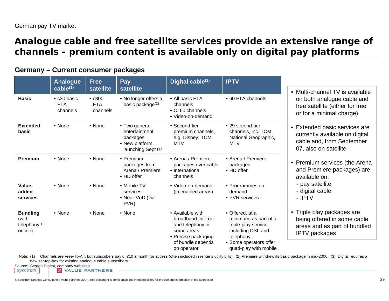### **Analogue cable and free satellite services provide an extensive range of channels - premium content is available only on digital pay platforms**

#### **Germany – Current consumer packages**

|                                                    | <b>Analogue</b><br>$\overline{\mathsf{cable}}^{(1)}$ | <b>Free</b><br>satellite               | Pay<br>satellite                                                                  | Digital cable <sup>(3)</sup>                                                                                                        | <b>IPTV</b>                                                                                                                                          |
|----------------------------------------------------|------------------------------------------------------|----------------------------------------|-----------------------------------------------------------------------------------|-------------------------------------------------------------------------------------------------------------------------------------|------------------------------------------------------------------------------------------------------------------------------------------------------|
| <b>Basic</b>                                       | • c30 basic<br><b>FTA</b><br>channels                | $\cdot$ c300<br><b>FTA</b><br>channels | • No longer offers a<br>basic package $(2)$                                       | • All basic FTA<br>channels<br>• C. 60 channels<br>• Video-on-demand                                                                | • 60 FTA channels                                                                                                                                    |
| <b>Extended</b><br>basic                           | • None                                               | • None                                 | • Two general<br>entertainment<br>packages<br>• New platform<br>launching Sept 07 | • Second-tier<br>premium channels,<br>e.g. Disney, TCM,<br><b>MTV</b>                                                               | • 29 second-tier<br>channels, inc. TCM,<br>National Geographic,<br><b>MTV</b>                                                                        |
| <b>Premium</b>                                     | • None                                               | $\bullet$ None                         | • Premium<br>packages from<br>Arena / Premiere<br>• HD offer                      | • Arena / Premiere<br>packages over cable<br>• International<br>channels                                                            | • Arena / Premiere<br>packages<br>• HD offer                                                                                                         |
| Value-<br>added<br>services                        | • None                                               | $\bullet$ None                         | • Mobile TV<br>services<br>• Near-VoD (via<br>PVR)                                | • Video-on-demand<br>(in enabled areas)                                                                                             | • Programmes on-<br>demand<br>• PVR services                                                                                                         |
| <b>Bundling</b><br>(with<br>telephony /<br>online) | • None                                               | • None                                 | • None                                                                            | • Available with<br>broadband Internet<br>and telephony in<br>some areas<br>• Precise packaging<br>of bundle depends<br>on operator | • Offered, at a<br>minimum, as part of a<br>triple-play service<br>including DSL and<br>telephony<br>• Some operators offer<br>quad-play with mobile |

<sup>•</sup> Multi-channel TV is available on both analogue cable and free satellite (either for free or for a minimal charge)

- Premium services (the Arena and Premiere packages) are available on:
- pay satellite
- digital cable
- IPTV
- Triple play packages are being offered in some cable areas and as part of bundled IPTV packages

Note: (1) Channels are Free-To-Air, but subscribers pay c. €10 a month for access (often included in renter's utility bills); (2) Premiere withdrew its basic package in mid-2006; (3) Digital requires a new set-top-box for existing analogue cable subscribers

Source: Screen Digest, company websites spectrum

<sup>•</sup> Extended basic services are currently available on digital cable and, from September 07, also on satellite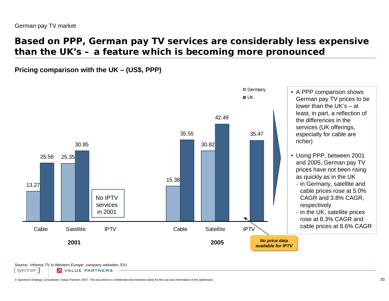# **Based on PPP, German pay TV services are considerably less expensive than the UK's – a feature which is becoming more pronounced**

**Pricing comparison with the UK – (US\$, PPP)**



Source: Informa *TV in Western Europe*, company websites, EIU

spectrum **2** VALUE PARTNERS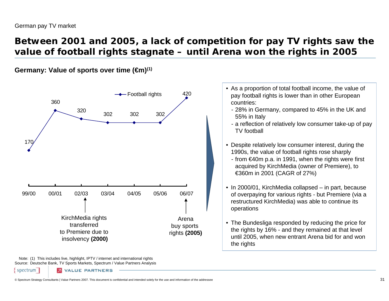### **Between 2001 and 2005, a lack of competition for pay TV rights saw the value of football rights stagnate – until Arena won the rights in 2005**

**Germany: Value of sports over time (€m)(1)**



Note: (1) This includes live, highlight, IPTV / internet and international rights Source: Deutsche Bank, TV Sports Markets, Spectrum / Value Partners Analysis

**VALUE PARTNERS** 

spectrum

• As a proportion of total football income, the value of pay football rights is lower than in other European countries:

- 28% in Germany, compared to 45% in the UK and 55% in Italy
- a reflection of relatively low consumer take-up of pay TV football
- Despite relatively low consumer interest, during the 1990s, the value of football rights rose sharply
	- from €40m p.a. in 1991, when the rights were first acquired by KirchMedia (owner of Premiere), to €360m in 2001 (CAGR of 27%)
- In 2000/01, KirchMedia collapsed in part, because of overpaying for various rights - but Premiere (via a restructured KirchMedia) was able to continue its operations
- The Bundesliga responded by reducing the price for the rights by 16% - and they remained at that level until 2005, when new entrant Arena bid for and won the rights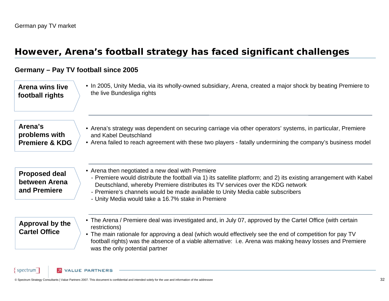### **However, Arena's football strategy has faced significant challenges**

#### **Germany – Pay TV football since 2005**

• In 2005, Unity Media, via its wholly-owned subsidiary, Arena, created a major shock by beating Premiere to the live Bundesliga rights **Arena wins live football rights**

**Arena's problems with Premiere & KDG**

- Arena's strategy was dependent on securing carriage via other operators' systems, in particular, Premiere and Kabel Deutschland
- Arena failed to reach agreement with these two players fatally undermining the company's business model

**Proposed deal between Arena and Premiere**

- Arena then negotiated a new deal with Premiere
- Premiere would distribute the football via 1) its satellite platform; and 2) its existing arrangement with Kabel Deutschland, whereby Premiere distributes its TV services over the KDG network
- Premiere's channels would be made available to Unity Media cable subscribers
- Unity Media would take a 16.7% stake in Premiere

#### **Approval by the Cartel Office**

spectrum

- The Arena / Premiere deal was investigated and, in July 07, approved by the Cartel Office (with certain restrictions)
- The main rationale for approving a deal (which would effectively see the end of competition for pay TV football rights) was the absence of a viable alternative: i.e. Arena was making heavy losses and Premiere was the only potential partner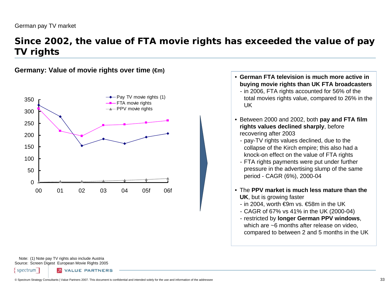### **Since 2002, the value of FTA movie rights has exceeded the value of pay TV rights**

**Germany: Value of movie rights over time (€m)**



- **German FTA television is much more active in buying movie rights than UK FTA broadcasters**
	- in 2006, FTA rights accounted for 56% of the total movies rights value, compared to 26% in the UK
- Between 2000 and 2002, both **pay and FTA film rights values declined sharply**, before recovering after 2003
	- pay-TV rights values declined, due to the collapse of the Kirch empire; this also had a knock-on effect on the value of FTA rights
	- FTA rights payments were put under further pressure in the advertising slump of the same period - CAGR (6%), 2000-04
- The **PPV market is much less mature than the UK**, but is growing faster
	- in 2004, worth €9m vs. €58m in the UK
	- CAGR of 67% vs 41% in the UK (2000-04)
- restricted by **longer German PPV windows**, which are ~6 months after release on video. compared to between 2 and 5 months in the UK

Note: (1) Note pay TV rights also include Austria Source: Screen Digest European Movie Rights 2005

spectrum

**VALUE PARTNERS**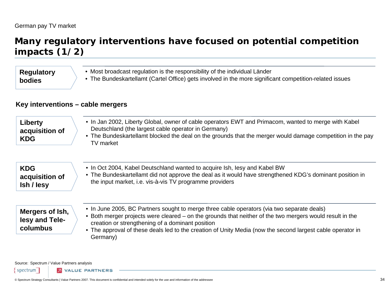# **Many regulatory interventions have focused on potential competition impacts (1/2)**

### • Most broadcast regulation is the responsibility of the individual Länder • The Bundeskartellamt (Cartel Office) gets involved in the more significant competition-related issues **Regulatory bodies**

### **Key interventions – cable mergers**

| Liberty<br>acquisition of<br><b>KDG</b>       | • In Jan 2002, Liberty Global, owner of cable operators EWT and Primacom, wanted to merge with Kabel<br>Deutschland (the largest cable operator in Germany)<br>• The Bundeskartellamt blocked the deal on the grounds that the merger would damage competition in the pay<br>TV market                                                                                               |  |
|-----------------------------------------------|--------------------------------------------------------------------------------------------------------------------------------------------------------------------------------------------------------------------------------------------------------------------------------------------------------------------------------------------------------------------------------------|--|
| <b>KDG</b><br>acquisition of<br>Ish / lesy    | • In Oct 2004, Kabel Deutschland wanted to acquire Ish, lesy and Kabel BW<br>• The Bundeskartellamt did not approve the deal as it would have strengthened KDG's dominant position in<br>the input market, i.e. vis-à-vis TV programme providers                                                                                                                                     |  |
| Mergers of Ish,<br>lesy and Tele-<br>columbus | • In June 2005, BC Partners sought to merge three cable operators (via two separate deals)<br>• Both merger projects were cleared – on the grounds that neither of the two mergers would result in the<br>creation or strengthening of a dominant position<br>• The approval of these deals led to the creation of Unity Media (now the second largest cable operator in<br>Germany) |  |

Source: Spectrum / Value Partners analysis

spectrum<sup>1</sup> **2** VALUE PARTNERS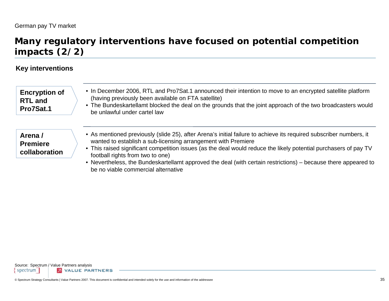## **Many regulatory interventions have focused on potential competition impacts (2/2)**

### **Key interventions**

| • In December 2006, RTL and Pro7Sat.1 announced their intention to move to an encrypted satellite platform<br>(having previously been available on FTA satellite)<br>• The Bundeskartellamt blocked the deal on the grounds that the joint approach of the two broadcasters would<br>be unlawful under cartel law                                                                                                                                             |
|---------------------------------------------------------------------------------------------------------------------------------------------------------------------------------------------------------------------------------------------------------------------------------------------------------------------------------------------------------------------------------------------------------------------------------------------------------------|
| • As mentioned previously (slide 25), after Arena's initial failure to achieve its required subscriber numbers, it<br>wanted to establish a sub-licensing arrangement with Premiere<br>• This raised significant competition issues (as the deal would reduce the likely potential purchasers of pay TV<br>football rights from two to one)<br>• Nevertheless, the Bundeskartellamt approved the deal (with certain restrictions) – because there appeared to |
|                                                                                                                                                                                                                                                                                                                                                                                                                                                               |

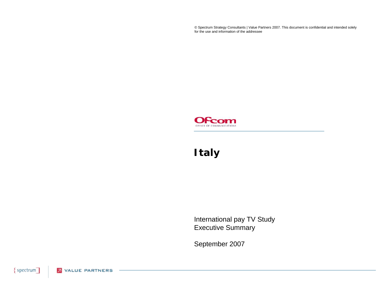© Spectrum Strategy Consultants | Value Partners 2007. This document is confidential and intended solely for the use and information of the addressee



# **Italy**

International pay TV Study Executive Summary

September 2007

{spectrum] **2** VALUE PARTNERS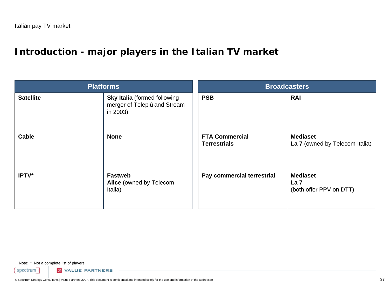# **Introduction - major players in the Italian TV market**

| <b>Platforms</b> |                                                                                 | <b>Broadcasters</b>                          |                                                               |
|------------------|---------------------------------------------------------------------------------|----------------------------------------------|---------------------------------------------------------------|
| <b>Satellite</b> | <b>Sky Italia</b> (formed following<br>merger of Telepiù and Stream<br>in 2003) | <b>PSB</b>                                   | <b>RAI</b>                                                    |
| <b>Cable</b>     | <b>None</b>                                                                     | <b>FTA Commercial</b><br><b>Terrestrials</b> | <b>Mediaset</b><br>La 7 (owned by Telecom Italia)             |
| IPTV*            | <b>Fastweb</b><br>Alice (owned by Telecom<br>Italia)                            | Pay commercial terrestrial                   | <b>Mediaset</b><br>La <sub>7</sub><br>(both offer PPV on DTT) |

Note: \* Not a complete list of players

 $spectrum$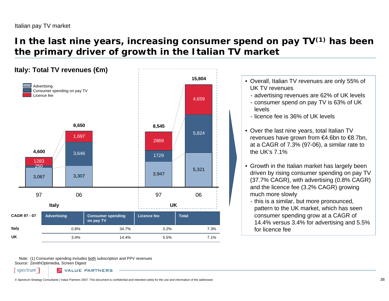# **In the last nine years, increasing consumer spend on pay TV(1) has been the primary driver of growth in the Italian TV market**



Note: (1) Consumer spending includes <u>both</u> subscription and PPV revenues Source: ZenithOptimedia, Screen Digest

spectrum

**VALUE PARTNERS**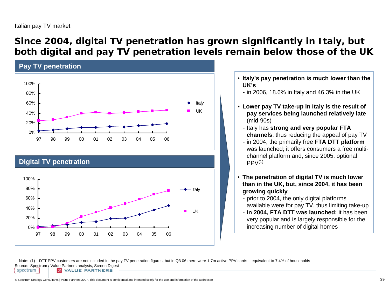## **Since 2004, digital TV penetration has grown significantly in Italy, but both digital and pay TV penetration levels remain below those of the UK**



### **Digital TV penetration**



• **Italy's pay penetration is much lower than the UK's**

- in 2006, 18.6% in Italy and 46.3% in the UK

- **Lower pay TV take-up in Italy is the result of**
	- **pay services being launched relatively late** (mid-90s)
	- Italy has **strong and very popular FTA channels**, thus reducing the appeal of pay TV
	- in 2004, the primarily free **FTA DTT platform** was launched; it offers consumers a free multichannel platform and, since 2005, optional  $PPV<sup>(1)</sup>$
- **The penetration of digital TV is much lower than in the UK, but, since 2004, it has been growing quickly**
	- prior to 2004, the only digital platforms available were for pay TV, thus limiting take-up
	- **in 2004, FTA DTT was launched;** it has been very popular and is largely responsible for the increasing number of digital homes

Note: (1) DTT PPV customers are not included in the pay TV penetration figures, but in Q3 06 there were 1.7m active PPV cards – equivalent to 7.4% of households Source: Spectrum / Value Partners analysis, Screen Digest spectrum **2** VALUE PARTNERS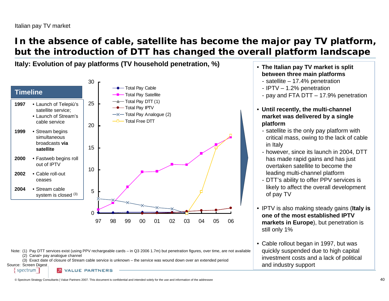# **In the absence of cable, satellite has become the major pay TV platform, but the introduction of DTT has changed the overall platform landscape**

**Italy: Evolution of pay platforms (TV household penetration, %)** •



Note: (1) Pay DTT services exist (using PPV rechargeable cards – in Q3 2006 1.7m) but penetration figures, over time, are not available (2) Canal+ pay analogue channel

(3) Exact date of closure of Stream cable service is unknown – the service was wound down over an extended period

Source: Screen Digest spectrum

**VALUE PARTNERS** 

- **The Italian pay TV market is split between three main platforms**
	- satellite 17.4% penetration
	- IPTV 1.2% penetration
	- pay and FTA DTT 17.9% penetration
- **Until recently, the multi-channel market was delivered by a single platform** 
	- satellite is the only pay platform with critical mass, owing to the lack of cable in Italy
	- however, since its launch in 2004, DTT has made rapid gains and has just overtaken satellite to become the leading multi-channel platform
	- DTT's ability to offer PPV services is likely to affect the overall development of pay TV
- IPTV is also making steady gains (**Italy is one of the most established IPTV markets in Europe**), but penetration is still only 1%
- Cable rollout began in 1997, but was quickly suspended due to high capital investment costs and a lack of political and industry support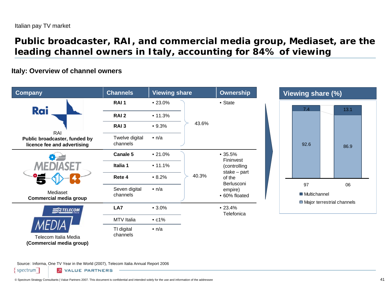## **Public broadcaster, RAI, and commercial media group, Mediaset, are the leading channel owners in Italy, accounting for 84% of viewing**

### **Italy: Overview of channel owners**



Source: Informa, One TV Year in the World (2007), Telecom Italia Annual Report 2006

spectrum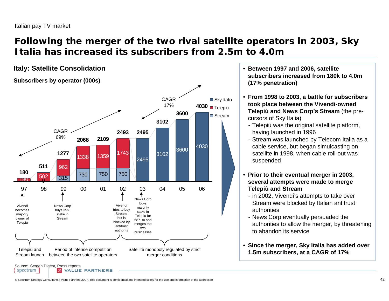# **Following the merger of the two rival satellite operators in 2003, Sky Italia has increased its subscribers from 2.5m to 4.0m**



- **Between 1997 and 2006, satellite subscribers increased from 180k to 4.0m (17% penetration)**
- **From 1998 to 2003, a battle for subscribers took place between the Vivendi-owned Telepiù and News Corp's Stream** (the precursors of Sky Italia)
	- Telepiù was the original satellite platform, having launched in 1996
	- Stream was launched by Telecom Italia as a cable service, but began simulcasting on satellite in 1998, when cable roll-out was suspended
- **Prior to their eventual merger in 2003, several attempts were made to merge Telepiù and Stream**
	- in 2002, Vivendi's attempts to take over Stream were blocked by Italian antitrust authorities
	- News Corp eventually persuaded the authorities to allow the merger, by threatening to abandon its service
- **Since the merger, Sky Italia has added over 1.5m subscribers, at a CAGR of 17%**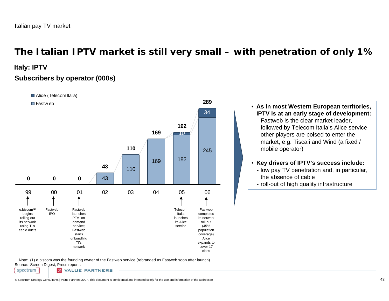# **The Italian IPTV market is still very small – with penetration of only 1%**

**Italy: IPTV**

### **Subscribers by operator (000s)**



Note: (1) e.biscom was the founding owner of the Fastweb service (rebranded as Fastweb soon after launch) Source: Screen Digest, Press reports

spectrum **2** VALUE PARTNERS

### • **As in most Western European territories, IPTV is at an early stage of development:**

- Fastweb is the clear market leader, followed by Telecom Italia's Alice service
- other players are poised to enter the market, e.g. Tiscali and Wind (a fixed / mobile operator)
- **Key drivers of IPTV's success include:**
- low pay TV penetration and, in particular, the absence of cable
- roll-out of high quality infrastructure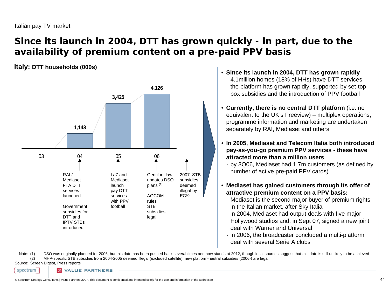# **Since its launch in 2004, DTT has grown quickly - in part, due to the availability of premium content on a pre-paid PPV basis**

### **Italy: DTT households (000s)**



- **Since its launch in 2004, DTT has grown rapidly**
	- 4.1million homes (18% of HHs) have DTT services
	- the platform has grown rapidly, supported by set-top box subsidies and the introduction of PPV football
- **Currently, there is no central DTT platform** (i.e. no equivalent to the UK's Freeview) – multiplex operations, programme information and marketing are undertaken separately by RAI, Mediaset and others
- **In 2005, Mediaset and Telecom Italia both introduced pay-as-you-go premium PPV services - these have attracted more than a million users**

- by 3Q06, Mediaset had 1.7m customers (as defined by number of active pre-paid PPV cards)

- **Mediaset has gained customers through its offer of attractive premium content on a PPV basis:**
	- Mediaset is the second major buyer of premium rights in the Italian market, after Sky Italia
	- in 2004, Mediaset had output deals with five major Hollywood studios and, in Sept 07, signed a new joint deal with Warner and Universal
	- in 2006, the broadcaster concluded a multi-platform deal with several Serie A clubs

Note: (1) DSO was originally planned for 2006, but this date has been pushed back several times and now stands at 2012, though local sources suggest that this date is still unlikely to be achieved (2) MHP-specific STB subsidies from 2004-2005 deemed illegal (excluded satellite); new platform-neutral subsidies (2006-) are legal

Source: Screen Digest, Press reports

spectrum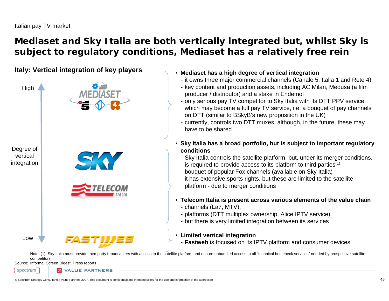# **Mediaset and Sky Italia are both vertically integrated but, whilst Sky is subject to regulatory conditions, Mediaset has a relatively free rein**

### **Italy: Vertical integration of key players**



### • **Mediaset has a high degree of vertical integration**

- it owns three major commercial channels (Canale 5, Italia 1 and Rete 4)
- key content and production assets, including AC Milan, Medusa (a film producer / distributor) and a stake in Endemol
- only serious pay TV competitor to Sky Italia with its DTT PPV service, which may become a full pay TV service, i.e. a bouquet of pay channels on DTT (similar to BSkyB's new proposition in the UK)
- currently, controls two DTT muxes, although, in the future, these may have to be shared
- **Sky Italia has a broad portfolio, but is subject to important regulatory conditions**
	- Sky Italia controls the satellite platform, but, under its merger conditions, is required to provide access to its platform to third parties $(1)$
	- bouquet of popular Fox channels (available on Sky Italia)
	- it has extensive sports rights, but these are limited to the satellite platform - due to merger conditions
- **Telecom Italia is present across various elements of the value chain**
	- channels (La7, MTV),
	- platforms (DTT multiplex ownership, Alice IPTV service)
	- but there is very limited integration between its services

### • **Limited vertical integration**

- **Fastweb** is focused on its IPTV platform and consumer devices

Note: (1) Sky Italia must provide third party broadcasters with access to the satellite platform and ensure unbundled access to all "technical bottleneck services" needed by prospective satellite competitors

Source: Informa, Screen Digest, Press reports

spectrum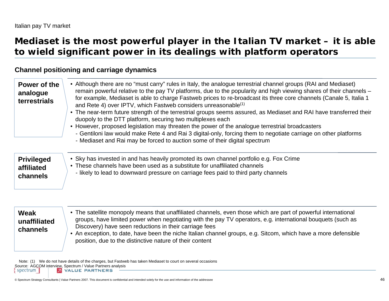# **Mediaset is the most powerful player in the Italian TV market – it is able to wield significant power in its dealings with platform operators**

### **Channel positioning and carriage dynamics**

| Power of the<br>analogue<br>terrestrials    | • Although there are no "must carry" rules in Italy, the analogue terrestrial channel groups (RAI and Mediaset)<br>remain powerful relative to the pay TV platforms, due to the popularity and high viewing shares of their channels –<br>for example, Mediaset is able to charge Fastweb prices to re-broadcast its three core channels (Canale 5, Italia 1<br>and Rete 4) over IPTV, which Fastweb considers unreasonable <sup>(1)</sup><br>• The near-term future strength of the terrestrial groups seems assured, as Mediaset and RAI have transferred their<br>duopoly to the DTT platform, securing two multiplexes each<br>• However, proposed legislation may threaten the power of the analogue terrestrial broadcasters<br>- Gentiloni law would make Rete 4 and Rai 3 digital-only, forcing them to negotiate carriage on other platforms<br>- Mediaset and Rai may be forced to auction some of their digital spectrum |
|---------------------------------------------|-------------------------------------------------------------------------------------------------------------------------------------------------------------------------------------------------------------------------------------------------------------------------------------------------------------------------------------------------------------------------------------------------------------------------------------------------------------------------------------------------------------------------------------------------------------------------------------------------------------------------------------------------------------------------------------------------------------------------------------------------------------------------------------------------------------------------------------------------------------------------------------------------------------------------------------|
| <b>Privileged</b><br>affiliated<br>channels | • Sky has invested in and has heavily promoted its own channel portfolio e.g. Fox Crime<br>• These channels have been used as a substitute for unaffiliated channels<br>- likely to lead to downward pressure on carriage fees paid to third party channels                                                                                                                                                                                                                                                                                                                                                                                                                                                                                                                                                                                                                                                                         |
| Weak<br>unaffiliated<br>channels            | • The satellite monopoly means that unaffiliated channels, even those which are part of powerful international<br>groups, have limited power when negotiating with the pay TV operators, e.g. international bouquets (such as<br>Discovery) have seen reductions in their carriage fees<br>• An exception, to date, have been the niche Italian channel groups, e.g. Sitcom, which have a more defensible<br>position, due to the distinctive nature of their content                                                                                                                                                                                                                                                                                                                                                                                                                                                               |

Note: (1) We do not have details of the charges, but Fastweb has taken Mediaset to court on several occasions Source: AGCOM interview, Spectrum / Value Partners analysis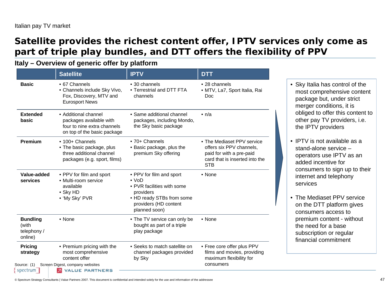## **Satellite provides the richest content offer, IPTV services only come as part of triple play bundles, and DTT offers the flexibility of PPV**

**Italy – Overview of generic offer by platform**

|                                                    | <b>Satellite</b>                                                                                                                             | <b>IPTV</b>                                                                                                                                               | <b>DTT</b>                                                                                                                         |
|----------------------------------------------------|----------------------------------------------------------------------------------------------------------------------------------------------|-----------------------------------------------------------------------------------------------------------------------------------------------------------|------------------------------------------------------------------------------------------------------------------------------------|
| <b>Basic</b>                                       | • 67 Channels<br>• Channels include Sky Vivo,<br>Fox, Discovery, MTV and<br><b>Eurosport News</b>                                            | • 30 channels<br>• Terrestrial and DTT FTA<br>channels                                                                                                    | • 28 channels<br>• MTV, La7, Sport Italia, Rai<br>Doc                                                                              |
| <b>Extended</b><br>basic                           | • Additional channel<br>packages available with<br>four to nine extra channels<br>on top of the basic package                                | • Same additional channel<br>packages, including Mondo,<br>the Sky basic package                                                                          | $\cdot$ n/a                                                                                                                        |
| <b>Premium</b>                                     | • 100+ Channels<br>• The basic package, plus<br>three additional channel<br>packages (e.g. sport, films)                                     | • 70+ Channels<br>• Basic package, plus the<br>premium Sky offering                                                                                       | • The Mediaset PPV service<br>offers six PPV channels,<br>paid for with a pre-paid<br>card that is inserted into the<br><b>STB</b> |
| Value-added<br>services                            | • PPV for film and sport<br>• Multi-room service<br>available<br>• Sky HD<br>• 'My Sky' PVR                                                  | • PPV for film and sport<br>$\cdot$ VoD<br>• PVR facilities with some<br>providers<br>• HD ready STBs from some<br>providers (HD content<br>planned soon) | • None                                                                                                                             |
| <b>Bundling</b><br>(with<br>telephony /<br>online) | • None                                                                                                                                       | • The TV service can only be<br>bought as part of a triple<br>play package                                                                                | • None                                                                                                                             |
| <b>Pricing</b><br>strategy<br>concept runs         | • Premium pricing with the<br>most comprehensive<br>content offer<br>Source: (1) Screen Digest, company websites<br><b>EX VALUE BARTLEDE</b> | • Seeks to match satellite on<br>channel packages provided<br>by Sky                                                                                      | • Free core offer plus PPV<br>films and movies, providing<br>maximum flexibility for<br>consumers                                  |

- Sky Italia has control of the most comprehensive content package but, under strict merger conditions, it is obliged to offer this content to other pay TV providers, i.e. the IPTV providers
- IPTV is not available as a stand-alone service –operators use IPTV as an added incentive for consumers to sign up to their internet and telephony services
- The Mediaset PPV service on the DTT platform gives consumers access to premium content - without the need for a base subscription or regular financial commitment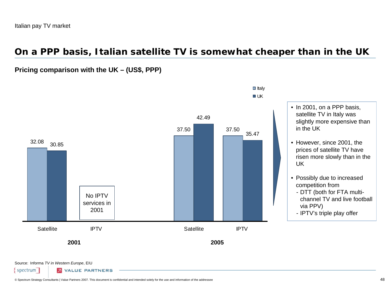### **On a PPP basis, Italian satellite TV is somewhat cheaper than in the UK**

### **Pricing comparison with the UK – (US\$, PPP)**



#### $\blacksquare$  Italy  $\blacksquare$

- In 2001, on a PPP basis, satellite TV in Italy was slightly more expensive than in the UK• However, since 2001, the prices of satellite TV have
- risen more slowly than in the UK
- Possibly due to increased competition from
- DTT (both for FTA multichannel TV and live football via PPV)
- IPTV's triple play offer

Source: Informa *TV in Western Europe*, EIU

spectrum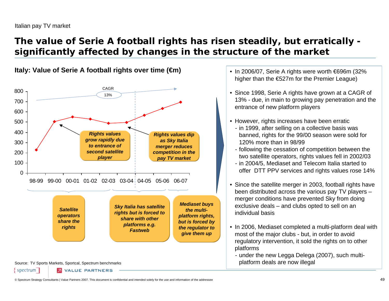# **The value of Serie A football rights has risen steadily, but erratically significantly affected by changes in the structure of the market**



**Italy: Value of Serie A football rights over time (€m)**

- In 2006/07, Serie A rights were worth €696m (32% higher than the €527m for the Premier League)
- Since 1998, Serie A rights have grown at a CAGR of 13% - due, in main to growing pay penetration and the entrance of new platform players
- However, rights increases have been erratic
	- in 1999, after selling on a collective basis was banned, rights for the 99/00 season were sold for 120% more than in 98/99
	- following the cessation of competition between the two satellite operators, rights values fell in 2002/03
	- in 2004/5, Mediaset and Telecom Italia started to offer DTT PPV services and rights values rose 14%
- Since the satellite merger in 2003, football rights have been distributed across the various pay TV players – merger conditions have prevented Sky from doing exclusive deals – and clubs opted to sell on an individual basis
- In 2006, Mediaset completed a multi-platform deal with most of the major clubs - but, in order to avoid regulatory intervention, it sold the rights on to other platforms
	- under the new Legga Delega (2007), such multiplatform deals are now illegal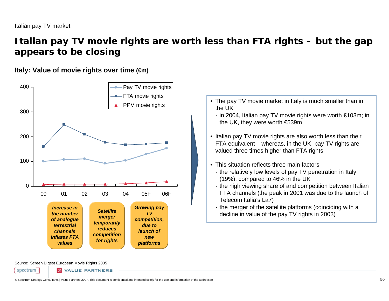## **Italian pay TV movie rights are worth less than FTA rights – but the gap appears to be closing**

### **Italy: Value of movie rights over time (€m)**



- The pay TV movie market in Italy is much smaller than in the UK
	- in 2004, Italian pay TV movie rights were worth €103m; in the UK, they were worth €539m
- Italian pay TV movie rights are also worth less than their FTA equivalent – whereas, in the UK, pay TV rights are valued three times higher than FTA rights
- This situation reflects three main factors
	- the relatively low levels of pay TV penetration in Italy (19%), compared to 46% in the UK
	- the high viewing share of and competition between Italian FTA channels (the peak in 2001 was due to the launch of Telecom Italia's La7)
	- the merger of the satellite platforms (coinciding with a decline in value of the pay TV rights in 2003)

Source: Screen Digest European Movie Rights 2005

spectrum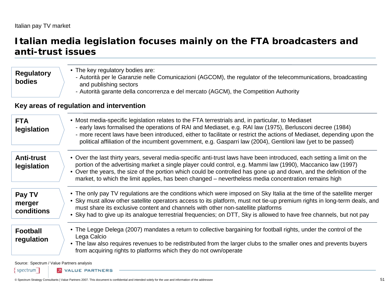### **Italian media legislation focuses mainly on the FTA broadcasters and anti-trust issues**

| <b>Regulatory</b><br><b>bodies</b> | • The key regulatory bodies are:<br>- Autorità per le Garanzie nelle Comunicazioni (AGCOM), the regulator of the telecommunications, broadcasting<br>and publishing sectors<br>- Autorità garante della concorrenza e del mercato (AGCM), the Competition Authority                                                                                                                                                                                                   |
|------------------------------------|-----------------------------------------------------------------------------------------------------------------------------------------------------------------------------------------------------------------------------------------------------------------------------------------------------------------------------------------------------------------------------------------------------------------------------------------------------------------------|
|                                    | Key areas of regulation and intervention                                                                                                                                                                                                                                                                                                                                                                                                                              |
| <b>FTA</b><br>legislation          | • Most media-specific legislation relates to the FTA terrestrials and, in particular, to Mediaset<br>- early laws formalised the operations of RAI and Mediaset, e.g. RAI law (1975), Berlusconi decree (1984)<br>- more recent laws have been introduced, either to facilitate or restrict the actions of Mediaset, depending upon the<br>political affiliation of the incumbent government, e.g. Gasparri law (2004), Gentiloni law (yet to be passed)              |
| <b>Anti-trust</b><br>legislation   | • Over the last thirty years, several media-specific anti-trust laws have been introduced, each setting a limit on the<br>portion of the advertising market a single player could control, e.g. Mammi law (1990), Maccanico law (1997)<br>• Over the years, the size of the portion which could be controlled has gone up and down, and the definition of the<br>market, to which the limit applies, has been changed – nevertheless media concentration remains high |
| Pay TV<br>merger<br>conditions     | • The only pay TV regulations are the conditions which were imposed on Sky Italia at the time of the satellite merger<br>• Sky must allow other satellite operators access to its platform, must not tie-up premium rights in long-term deals, and<br>must share its exclusive content and channels with other non-satellite platforms<br>• Sky had to give up its analogue terrestrial frequencies; on DTT, Sky is allowed to have free channels, but not pay        |
| <b>Football</b><br>regulation      | • The Legge Delega (2007) mandates a return to collective bargaining for football rights, under the control of the<br>Lega Calcio<br>• The law also requires revenues to be redistributed from the larger clubs to the smaller ones and prevents buyers<br>from acquiring rights to platforms which they do not own/operate                                                                                                                                           |

Source: Spectrum / Value Partners analysis

spectrum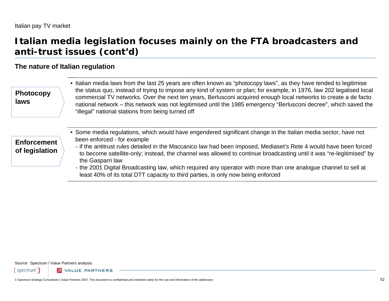## **Italian media legislation focuses mainly on the FTA broadcasters and anti-trust issues (cont'd)**

### **The nature of Italian regulation**

• Italian media laws from the last 25 years are often known as "photocopy laws", as they have tended to legitimise the status quo, instead of trying to impose any kind of system or plan; for example, in 1976, law 202 legalised local commercial TV networks. Over the next ten years, Berlusconi acquired enough local networks to create a de facto national network – this network was not legitimised until the 1985 emergency "Berlusconi decree", which saved the "illegal" national stations from being turned off **Photocopy laws**

#### • Some media regulations, which would have engendered significant change in the Italian media sector, have not been enforced - for example **Enforcement**

#### - if the antitrust rules detailed in the Maccanico law had been imposed, Mediaset's Rete 4 would have been forced to become satellite-only; instead, the channel was allowed to continue broadcasting until it was "re-legitimised" by the Gasparri law **of legislation**

- the 2001 Digital Broadcasting law, which required any operator with more than one analogue channel to sell at least 40% of its total DTT capacity to third parties, is only now being enforced

Source: Spectrum / Value Partners analysis

spectrum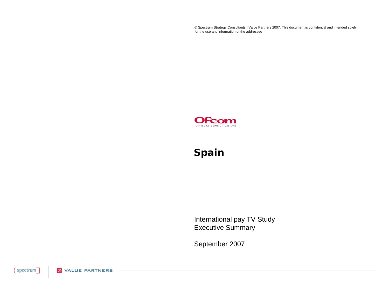© Spectrum Strategy Consultants | Value Partners 2007. This document is confidential and intended solely for the use and information of the addressee



# **Spain**

International pay TV Study Executive Summary

September 2007

{spectrum] **2** VALUE PARTNERS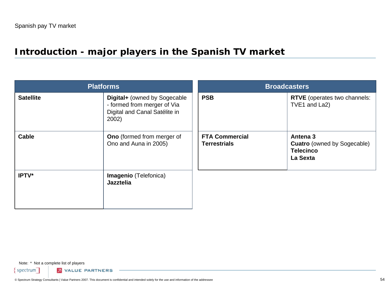# **Introduction - major players in the Spanish TV market**

| <b>Platforms</b> |                                                                                                       | <b>Broadcasters</b>                          |                                                                                |  |
|------------------|-------------------------------------------------------------------------------------------------------|----------------------------------------------|--------------------------------------------------------------------------------|--|
| <b>Satellite</b> | Digital+ (owned by Sogecable<br>- formed from merger of Via<br>Digital and Canal Satélite in<br>2002) | <b>PSB</b>                                   | RTVE (operates two channels:<br>TVE1 and La2)                                  |  |
| <b>Cable</b>     | <b>Ono</b> (formed from merger of<br>Ono and Auna in 2005)                                            | <b>FTA Commercial</b><br><b>Terrestrials</b> | Antena 3<br><b>Cuatro</b> (owned by Sogecable)<br><b>Telecinco</b><br>La Sexta |  |
| IPTV*            | <b>Imagenio</b> (Telefonica)<br><b>Jazztelia</b>                                                      |                                              |                                                                                |  |

Note: \* Not a complete list of players

 $spectrum$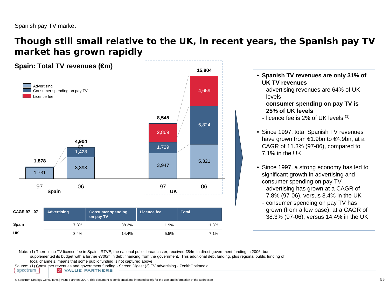spectrum

### **Though still small relative to the UK, in recent years, the Spanish pay TV market has grown rapidly**



- **Spanish TV revenues are only 31% of UK TV revenues**
	- advertising revenues are 64% of UK
	- **consumer spending on pay TV is 25% of UK levels**
	- licence fee is 2% of UK levels  $^{\left(1\right)}$
- Since 1997, total Spanish TV revenues have grown from €1.9bn to €4.9bn, at a CAGR of 11.3% (97-06), compared to 7.1% in the UK
- Since 1997, a strong economy has led to significant growth in advertising and consumer spending on pay TV
	- advertising has grown at a CAGR of 7.8% (97-06), versus 3.4% in the UK
- consumer spending on pay TV has grown (from a low base), at a CAGR of 38.3% (97-06), versus 14.4% in the UK

Note: (1) There is no TV licence fee in Spain. RTVE, the national public broadcaster, received €84m in direct government funding in 2006, but supplemented its budget with a further €700m in debt financing from the government. This additional debt funding, plus regional public funding of local channels, means that some public funding is not captured above

Source: (1) Consumer revenues and government funding - Screen Digest (2) TV advertising - ZenithOptimedia **2** VALUE PARTNERS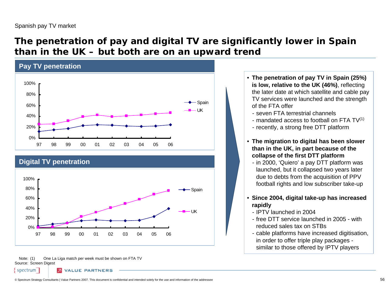## **The penetration of pay and digital TV are significantly lower in Spain than in the UK – but both are on an upward trend**



### **Digital TV penetration**

spectrum



Note: (1) Source: Screen Digest One La Liga match per week must be shown on FTA TV

**VALUE PARTNERS** 

- **The penetration of pay TV in Spain (25%) is low, relative to the UK (46%)**, reflecting the later date at which satellite and cable pay TV services were launched and the strength of the FTA offer
	- seven FTA terrestrial channels
	- mandated access to football on FTA TV $^{\left(1\right)}$
	- recently, a strong free DTT platform
- **The migration to digital has been slower than in the UK, in part because of the collapse of the first DTT platform**
	- in 2000, 'Quiero' a pay DTT platform was launched, but it collapsed two years later due to debts from the acquisition of PPV football rights and low subscriber take-up
- **Since 2004, digital take-up has increased rapidly**
	- IPTV launched in 2004
	- free DTT service launched in 2005 with reduced sales tax on STBs
	- cable platforms have increased digitisation, in order to offer triple play packages similar to those offered by IPTV players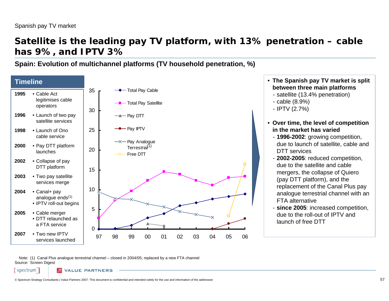### **Satellite is the leading pay TV platform, with 13% penetration – cable has 9%, and IPTV 3%**

**Spain: Evolution of multichannel platforms (TV household penetration, %)**



Note: (1) Canal Plus analogue terrestrial channel – closed in 2004/05; replaced by a new FTA channel Source: Screen Digest

spectrum **VALUE PARTNERS**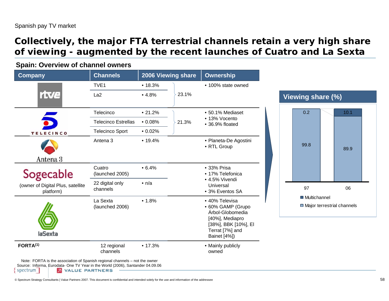## **Collectively, the major FTA terrestrial channels retain a very high share of viewing - augmented by the recent launches of Cuatro and La Sexta**

### **Spain: Overview of channel owners**

| <b>Company</b>                                 | <b>Channels</b>             |               | 2006 Viewing share | <b>Ownership</b>                                                                                                                      |
|------------------------------------------------|-----------------------------|---------------|--------------------|---------------------------------------------------------------------------------------------------------------------------------------|
|                                                | TVE <sub>1</sub>            | • 18.3%       |                    | • 100% state owned                                                                                                                    |
| rtve                                           | La <sub>2</sub>             | •4.8%         | 23.1%              |                                                                                                                                       |
|                                                | Telecinco                   | •21.2%        |                    | • 50.1% Mediaset                                                                                                                      |
|                                                | <b>Telecinco Estrellas</b>  | $\cdot$ 0.08% | 21.3%              | • 13% Vocento<br>• 36.9% floated                                                                                                      |
| <b>TELECINCO</b>                               | <b>Telecinco Sport</b>      | $\cdot$ 0.02% |                    |                                                                                                                                       |
|                                                | Antena <sub>3</sub>         | • 19.4%       |                    | • Planeta-De Agostini<br>• RTL Group                                                                                                  |
| Antena <sub>3</sub>                            |                             |               |                    |                                                                                                                                       |
| Sogecable                                      | Cuatro<br>(launched 2005)   | • 6.4%        |                    | • 33% Prisa<br>• 17% Telefonica                                                                                                       |
| (owner of Digital Plus, satellite<br>platform) | 22 digital only<br>channels | $\cdot$ n/a   |                    | • 4.5% Vivendi<br>Universal<br>• 3% Eventos SA                                                                                        |
| laSexta                                        | La Sexta<br>(launched 2006) | • 1.8%        |                    | • 40% Televisa<br>• 60% GAMP (Grupo<br>Árbol-Globomedia<br>[40%], Mediapro<br>[38%], BBK [10%], EI<br>Terrat [7%] and<br>Bainet [4%]) |
| FORTA <sup>(1)</sup>                           | 12 regional<br>channels     | • 17.3%       |                    | • Mainly publicly<br>owned                                                                                                            |



**2** VALUE PARTNERS

spectrum

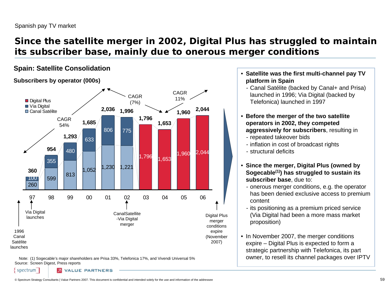## **Since the satellite merger in 2002, Digital Plus has struggled to maintain its subscriber base, mainly due to onerous merger conditions**

### **Spain: Satellite Consolidation**

### **Subscribers by operator (000s)**



Note: (1) Sogecable's major shareholders are Prisa 33%, Telefonica 17%, and Vivendi Universal 5% Source: Screen Digest, Press reports

spectrum

**VALUE PARTNERS** 

© Spectrum Strategy Consultants | Value Partners 2007. This document is confidential and intended solely for the use and information of the addressee 59

• **Satellite was the first multi-channel pay TV platform in Spain**

- Canal Satélite (backed by Canal+ and Prisa) launched in 1996; Via Digital (backed by Telefonica) launched in 1997

- **Before the merger of the two satellite operators in 2002, they competed aggressively for subscribers**, resulting in
- repeated takeover bids
- inflation in cost of broadcast rights
- structural deficits
- **Since the merger, Digital Plus (owned by Sogecable(1)) has struggled to sustain its subscriber base**, due to:
	- onerous merger conditions, e.g. the operator has been denied exclusive access to premium content
	- its positioning as a premium priced service (Via Digital had been a more mass market proposition)
- In November 2007, the merger conditions expire – Digital Plus is expected to form a strategic partnership with Telefonica, its part owner, to resell its channel packages over IPTV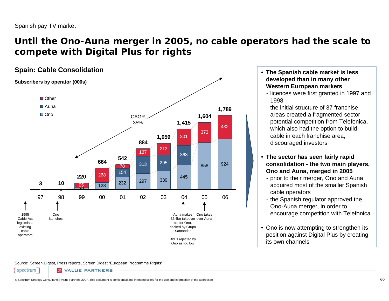## **Until the Ono-Auna merger in 2005, no cable operators had the scale to compete with Digital Plus for rights**



 **The Spanish cable market is less developed than in many other Western European markets**

- licences were first granted in 1997 and 1998
- the initial structure of 37 franchise areas created a fragmented sector
- potential competition from Telefonica, which also had the option to build cable in each franchise area, discouraged investors
- **The sector has seen fairly rapid consolidation - the two main players, Ono and Auna, merged in 2005**
	- prior to their merger, Ono and Auna acquired most of the smaller Spanish cable operators
	- the Spanish regulator approved the Ono-Auna merger, in order to encourage competition with Telefonica
- Ono is now attempting to strengthen its position against Digital Plus by creating its own channels

Source: Screen Digest, Press reports, Screen Digest "European Programme Rights"

spectrum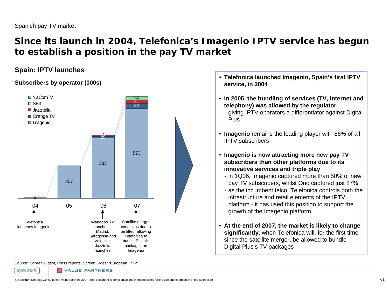## **Since its launch in 2004, Telefonica's Imagenio IPTV service has begun to establish a position in the pay TV market**

### **Spain: IPTV launches**

### **Subscribers by operator (000s)**



Source: Screen Digest, Press reports, Screen Digest "European IPTV"

**2** VALUE PARTNERS

spectrum

- **Telefonica launched Imagenio, Spain's first IPTV service, in 2004**
- **In 2005, the bundling of services (TV, internet and telephony) was allowed by the regulator**
	- giving IPTV operators a differentiator against Digital Plus
- **Imagenio** remains the leading player with 86% of all IPTV subscribers
- **Imagenio is now attracting more new pay TV subscribers than other platforms due to its innovative services and triple play**
	- in 1Q06, Imagenio captured more than 50% of new pay TV subscribers, whilst Ono captured just 27%
	- as the incumbent telco, Telefonica controls both the infrastructure and retail elements of the IPTV platform - it has used this position to support the growth of the Imagenio platform
- **At the end of 2007, the market is likely to change significantly**, when Telefonica will, for the first time since the satellite merger, be allowed to bundle Digital Plus's TV packages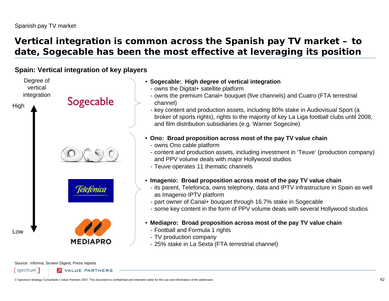# **Vertical integration is common across the Spanish pay TV market – to date, Sogecable has been the most effective at leveraging its position**

### **Spain: Vertical integration of key players**

Degree of vertical integration Sogecable High **Telefonica** Low**MEDIAPRO** 

- **Sogecable: High degree of vertical integration**
	- owns the Digital+ satellite platform
	- owns the premium Canal+ bouquet (five channels) and Cuatro (FTA terrestrial channel)
	- key content and production assets, including 80% stake in Audiovisual Sport (a broker of sports rights), rights to the majority of key La Liga football clubs until 2008, and film distribution subsidiaries (e.g. Warner Sogecine)
- **Ono: Broad proposition across most of the pay TV value chain**
	- owns Ono cable platform
	- content and production assets, including investment in 'Teuve' (production company) and PPV volume deals with major Hollywood studios
	- Teuve operates 11 thematic channels
- **Imagenio: Broad proposition across most of the pay TV value chain**
	- its parent, Telefonica, owns telephony, data and IPTV infrastructure in Spain as well as Imagenio IPTV platform
	- part owner of Canal+ bouquet through 16.7% stake in Sogecable
	- some key content in the form of PPV volume deals with several Hollywood studios
- **Mediapro: Broad proposition across most of the pay TV value chain**
	- Football and Formula 1 rights
	- TV production company
	- 25% stake in La Sexta (FTA terrestrial channel)

Source: Informa, Screen Digest, Press reports

spectrum **VALUE PARTNERS**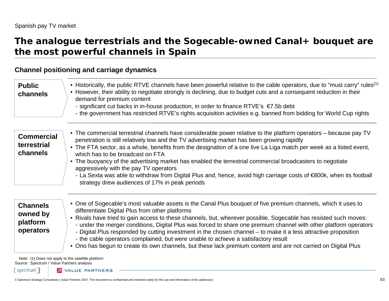### **The analogue terrestrials and the Sogecable-owned Canal+ bouquet are the most powerful channels in Spain**

### **Channel positioning and carriage dynamics**

| <b>Public</b><br>channels                            | • Historically, the public RTVE channels have been powerful relative to the cable operators, due to "must carry" rules <sup>(1)</sup><br>• However, their ability to negotiate strongly is declining, due to budget cuts and a consequent reduction in their<br>demand for premium content<br>- significant cut backs in in-house production, in order to finance RTVE's $\epsilon$ 7.5b debt<br>- the government has restricted RTVE's rights acquisition activities e.g. banned from bidding for World Cup rights                                                                                                                                                                                                                   |
|------------------------------------------------------|---------------------------------------------------------------------------------------------------------------------------------------------------------------------------------------------------------------------------------------------------------------------------------------------------------------------------------------------------------------------------------------------------------------------------------------------------------------------------------------------------------------------------------------------------------------------------------------------------------------------------------------------------------------------------------------------------------------------------------------|
| <b>Commercial</b><br>terrestrial<br>channels         | • The commercial terrestrial channels have considerable power relative to the platform operators – because pay TV<br>penetration is still relatively low and the TV advertising market has been growing rapidly<br>• The FTA sector, as a whole, benefits from the designation of a one live La Liga match per week as a listed event,<br>which has to be broadcast on FTA<br>• The buoyancy of the advertising market has enabled the terrestrial commercial broadcasters to negotiate<br>aggressively with the pay TV operators<br>- La Sexta was able to withdraw from Digital Plus and, hence, avoid high carriage costs of €800k, when its football<br>strategy drew audiences of 17% in peak periods                            |
| <b>Channels</b><br>owned by<br>platform<br>operators | • One of Sogecable's most valuable assets is the Canal Plus bouquet of five premium channels, which it uses to<br>differentiate Digital Plus from other platforms<br>• Rivals have tried to gain access to these channels, but, wherever possible, Sogecable has resisted such moves:<br>- under the merger conditions, Digital Plus was forced to share one premium channel with other platform operators<br>- Digital Plus responded by cutting investment in the chosen channel – to make it a less attractive proposition<br>- the cable operators complained, but were unable to achieve a satisfactory result<br>• Ono has begun to create its own channels, but these lack premium content and are not carried on Digital Plus |

Note: (1) Does not apply to the satellite platform Source: Spectrum / Value Partners analysis

spectrum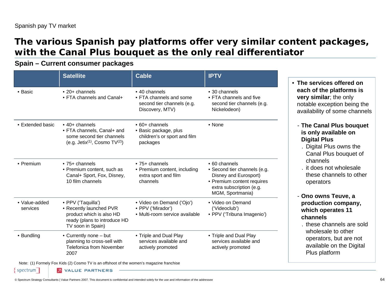spectrum

# **The various Spanish pay platforms offer very similar content packages, with the Canal Plus bouquet as the only real differentiator**

### **Spain – Current consumer packages**

|                           | <b>Satellite</b>                                                                                                                | <b>Cable</b>                                                                               | <b>IPTV</b>                                                                                                                                                  |
|---------------------------|---------------------------------------------------------------------------------------------------------------------------------|--------------------------------------------------------------------------------------------|--------------------------------------------------------------------------------------------------------------------------------------------------------------|
| • Basic                   | $\cdot$ 20+ channels<br>• FTA channels and Canal+                                                                               | • 40 channels<br>• FTA channels and some<br>second tier channels (e.g.<br>Discovery, MTV)  | • 30 channels<br>• FTA channels and five<br>second tier channels (e.g.<br>Nickelodeon)                                                                       |
| • Extended basic          | $\cdot$ 40+ channels<br>• FTA channels, Canal+ and<br>some second tier channels<br>(e.g. Jetix <sup>(1)</sup> , Cosmo $TV(2)$ ) | $\cdot$ 60+ channels<br>• Basic package, plus<br>children's or sport and film<br>packages  | $\bullet$ None                                                                                                                                               |
| • Premium                 | $\bullet$ 75+ channels<br>• Premium content, such as<br>Canal+ Sport, Fox, Disney,<br>10 film channels                          | $\bullet$ 75+ channels<br>• Premium content, including<br>extra sport and film<br>channels | $\bullet$ 60 channels<br>• Second tier channels (e.g.<br>Disney and Eurosport)<br>• Premium content requires<br>extra subscription (e.g.<br>MGM, Sportmania) |
| • Value-added<br>services | • PPV ('Taquilla')<br>• Recently launched PVR<br>product which is also HD<br>ready (plans to introduce HD<br>TV soon in Spain)  | • Video on Demand ('Ojo')<br>• PPV ('Mirador')<br>· Multi-room service available           | • Video on Demand<br>('Videoclub')<br>• PPV ('Tribuna Imagenio')                                                                                             |
| • Bundling                | • Currently none - but<br>planning to cross-sell with<br><b>Telefonica from November</b><br>2007                                | • Triple and Dual Play<br>services available and<br>actively promoted                      | • Triple and Dual Play<br>services available and<br>actively promoted                                                                                        |

Note: (1) Formely Fox Kids (2) Cosmo TV is an offshoot of the women's magazine franchise

**2** VALUE PARTNERS

 **The services offered on each of the platforms is very similar**; the only notable exception being the availability of some channels

### - **The Canal Plus bouquet is only available on Digital Plus**

- . Digital Plus owns the Canal Plus bouquet of channels
- . it does not wholesale these channels to other operators

### - **Ono owns Teuve, a production company, which operates 11 channels**

. these channels are sold wholesale to other operators, but are not available on the Digital Plus platform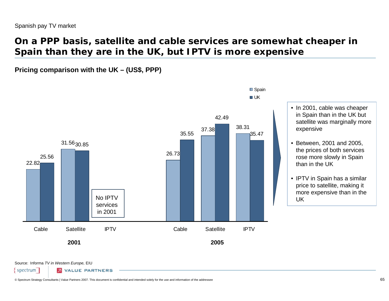## **On a PPP basis, satellite and cable services are somewhat cheaper in Spain than they are in the UK, but IPTV is more expensive**

**Pricing comparison with the UK – (US\$, PPP)**



■ Spain

- In 2001, cable was cheaper in Spain than in the UK but satellite was marginally more expensive
- Between, 2001 and 2005, the prices of both services rose more slowly in Spain than in the UK
- IPTV in Spain has a similar price to satellite, making it more expensive than in the UK

Source: Informa *TV in Western Europe,* EIU

spectrum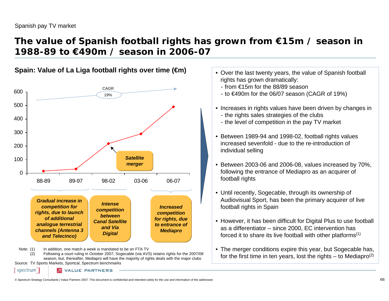spectrum

## **The value of Spanish football rights has grown from €15m / season in 1988-89 to €490m / season in 2006-07**



**Spain: Value of La Liga football rights over time (€m)**

Source: TV Sports Markets, Sportcal, Spectrum benchmarks season, but, thereafter, Mediapro will have the majority of rights deals with the major clubs

• Over the last twenty years, the value of Spanish football rights has grown dramatically:

- from €15m for the 88/89 season
- to €490m for the 06/07 season (CAGR of 19%)
- Increases in rights values have been driven by changes in
- the rights sales strategies of the clubs
- the level of competition in the pay TV market
- Between 1989-94 and 1998-02, football rights values increased sevenfold - due to the re-introduction of individual selling
- $\bullet$  Between 2003-06 and 2006-08, values increased by 70%, following the entrance of Mediapro as an acquirer of football rights
- Until recently, Sogecable, through its ownership of Audiovisual Sport, has been the primary acquirer of live football rights in Spain
- However, it has been difficult for Digital Plus to use football as a differentiator – since 2000, EC intervention has forced it to share its live football with other platforms<sup> $(1)$ </sup>
- The merger conditions expire this year, but Sogecable has, for the first time in ten years, lost the rights  $-$  to Mediapro<sup>(2)</sup>

© Spectrum Strategy Consultants | Value Partners 2007. This document is confidential and intended solely for the use and information of the addressee 66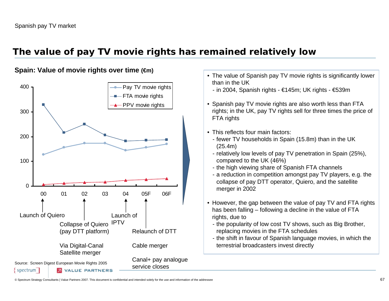# **The value of pay TV movie rights has remained relatively low**

### **Spain: Value of movie rights over time (€m)**



- The value of Spanish pay TV movie rights is significantly lower than in the UK
	- in 2004, Spanish rights €145m; UK rights €539m
- Spanish pay TV movie rights are also worth less than FTA rights; in the UK, pay TV rights sell for three times the price of FTA rights
- This reflects four main factors:
	- fewer TV households in Spain (15.8m) than in the UK (25.4m)
	- relatively low levels of pay TV penetration in Spain (25%), compared to the UK (46%)
	- the high viewing share of Spanish FTA channels
	- a reduction in competition amongst pay TV players, e.g. the collapse of pay DTT operator, Quiero, and the satellite merger in 2002
- However, the gap between the value of pay TV and FTA rights has been falling – following a decline in the value of FTA rights, due to
	- the popularity of low cost TV shows, such as Big Brother, replacing movies in the FTA schedules
	- the shift in favour of Spanish language movies, in which the terrestrial broadcasters invest directly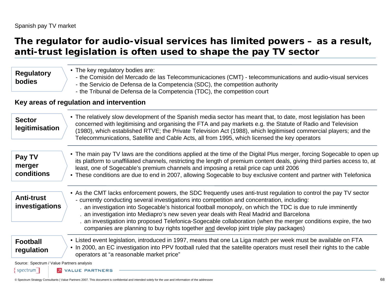} spectrum ∣

### **The regulator for audio-visual services has limited powers – as a result, anti-trust legislation is often used to shape the pay TV sector**

| <b>Regulatory</b><br>bodies                                                 | • The key regulatory bodies are:<br>- the Comisión del Mercado de las Telecommunicaciones (CMT) - telecommunications and audio-visual services<br>- the Servicio de Defensa de la Competencia (SDC), the competition authority<br>- the Tribunal de Defensa de la Competencia (TDC), the competition court                                                                                                                                                                                                                                                                                                                              |
|-----------------------------------------------------------------------------|-----------------------------------------------------------------------------------------------------------------------------------------------------------------------------------------------------------------------------------------------------------------------------------------------------------------------------------------------------------------------------------------------------------------------------------------------------------------------------------------------------------------------------------------------------------------------------------------------------------------------------------------|
|                                                                             | Key areas of regulation and intervention                                                                                                                                                                                                                                                                                                                                                                                                                                                                                                                                                                                                |
| <b>Sector</b><br>legitimisation                                             | • The relatively slow development of the Spanish media sector has meant that, to date, most legislation has been<br>concerned with legitimising and organising the FTA and pay markets e.g. the Statute of Radio and Television<br>(1980), which established RTVE; the Private Television Act (1988), which legitimised commercial players; and the<br>Telecommunications, Satellite and Cable Acts, all from 1995, which licensed the key operators                                                                                                                                                                                    |
| Pay TV<br>merger<br>conditions                                              | • The main pay TV laws are the conditions applied at the time of the Digital Plus merger, forcing Sogecable to open up<br>its platform to unaffiliated channels, restricting the length of premium content deals, giving third parties access to, at<br>least, one of Sogecable's premium channels and imposing a retail price cap until 2006<br>• These conditions are due to end in 2007, allowing Sogecable to buy exclusive content and partner with Telefonica                                                                                                                                                                     |
| <b>Anti-trust</b><br>investigations                                         | • As the CMT lacks enforcement powers, the SDC frequently uses anti-trust regulation to control the pay TV sector<br>- currently conducting several investigations into competition and concentration, including:<br>. an investigation into Sogecable's historical football monopoly, on which the TDC is due to rule imminently<br>. an investigation into Mediapro's new seven year deals with Real Madrid and Barcelona<br>. an investigation into proposed Telefonica-Sogecable collaboration (when the merger conditions expire, the two<br>companies are planning to buy rights together and develop joint triple play packages) |
| <b>Football</b><br>regulation<br>Source: Spectrum / Value Partners analysis | • Listed event legislation, introduced in 1997, means that one La Liga match per week must be available on FTA<br>• In 2000, an EC investigation into PPV football ruled that the satellite operators must resell their rights to the cable<br>operators at "a reasonable market price"                                                                                                                                                                                                                                                                                                                                                 |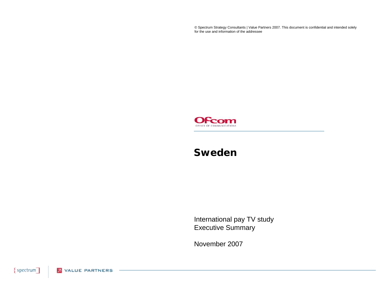© Spectrum Strategy Consultants | Value Partners 2007. This document is confidential and intended solely for the use and information of the addressee



### **Sweden**

International pay TV study Executive Summary

November 2007

{spectrum] **2** VALUE PARTNERS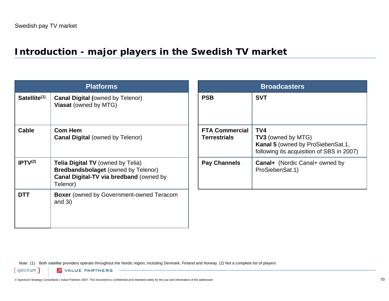### **Introduction - major players in the Swedish TV market**

|                          | <b>Platforms</b>                                                                                                                              |                                              | <b>Broadcasters</b>                                                                                                |
|--------------------------|-----------------------------------------------------------------------------------------------------------------------------------------------|----------------------------------------------|--------------------------------------------------------------------------------------------------------------------|
| Satellite <sup>(1)</sup> | <b>Canal Digital (owned by Telenor)</b><br><b>Viasat (owned by MTG)</b>                                                                       | <b>PSB</b>                                   | <b>SVT</b>                                                                                                         |
| Cable                    | <b>Com Hem</b><br><b>Canal Digital (owned by Telenor)</b>                                                                                     | <b>FTA Commercial</b><br><b>Terrestrials</b> | TV4<br><b>TV3</b> (owned by MTG)<br>Kanal 5 (owned by ProSiebenSat.1,<br>following its acquisition of SBS in 2007) |
| IPTV <sup>(2)</sup>      | <b>Telia Digital TV</b> (owned by Telia)<br><b>Bredbandsbolaget (owned by Telenor)</b><br>Canal Digital-TV via bredband (owned by<br>Telenor) | <b>Pay Channels</b>                          | <b>Canal+</b> (Nordic Canal+ owned by<br>ProSiebenSat.1)                                                           |
| <b>DTT</b>               | <b>Boxer</b> (owned by Government-owned Teracom<br>and $3i)$                                                                                  |                                              |                                                                                                                    |

Note: (1) Both satellite providers operate throughout the Nordic region; including Denmark, Finland and Norway (2) Not a complete list of players

 $spectrum$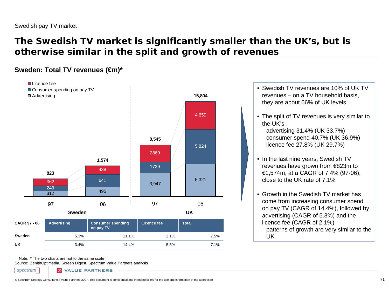## **The Swedish TV market is significantly smaller than the UK's, but is otherwise similar in the split and growth of revenues**

#### **Sweden: Total TV revenues (€m)\***



Note:\* The two charts are not to the same scale

Source: ZenithOptimedia, Screen Digest, Spectrum Value Partners analysis

spectrum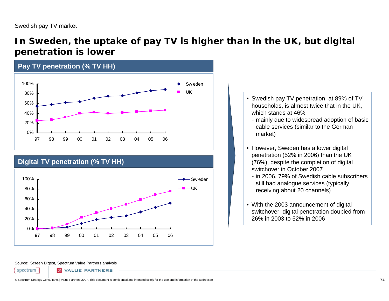### **In Sweden, the uptake of pay TV is higher than in the UK, but digital penetration is lower**





- Swedish pay TV penetration, at 89% of TV households, is almost twice that in the UK, which stands at 46%
	- mainly due to widespread adoption of basic cable services (similar to the German market)
- However, Sweden has a lower digital penetration (52% in 2006) than the UK (76%), despite the completion of digital switchover in October 2007
	- in 2006, 79% of Swedish cable subscribers still had analogue services (typically receiving about 20 channels)
- With the 2003 announcement of digital switchover, digital penetration doubled from 26% in 2003 to 52% in 2006

#### Source: Screen Digest, Spectrum Value Partners analysis

spectrum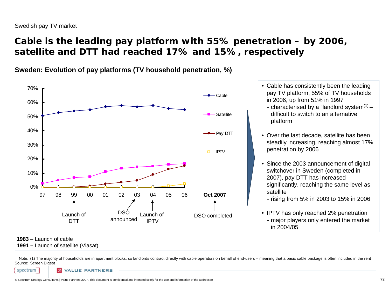# **Cable is the leading pay platform with 55% penetration – by 2006, satellite and DTT had reached 17% and 15%, respectively**

**Sweden: Evolution of pay platforms (TV household penetration, %)**



- Cable has consistently been the leading pay TV platform, 55% of TV households in 2006, up from 51% in 1997
	- characterised by a "landlord system<sup>(1)</sup> difficult to switch to an alternative platform
- Over the last decade, satellite has been steadily increasing, reaching almost 17% penetration by 2006
- Since the 2003 announcement of digital switchover in Sweden (completed in 2007), pay DTT has increased significantly, reaching the same level as satellite

- rising from 5% in 2003 to 15% in 2006

• IPTV has only reached 2% penetration - major players only entered the market in 2004/05

**1991 –** Launch of satellite (Viasat)

Note: (1) The majority of households are in apartment blocks, so landlords contract directly with cable operators on behalf of end-users – meaning that a basic cable package is often included in the rent Source: Screen Digest

spectrum

**VALUE PARTNERS**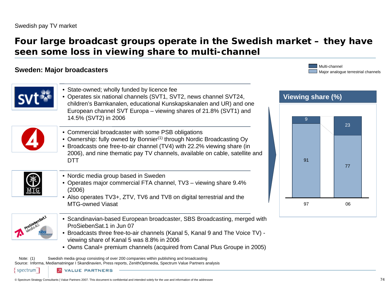### **Four large broadcast groups operate in the Swedish market – they have seen some loss in viewing share to multi-channel**

### **Sweden: Major broadcasters**

Major analogue terrestrial channels Multi-channel



- Operates six national channels (SVT1, SVT2, news channel SVT24, children's Barnkanalen, educational Kunskapskanalen and UR) and one European channel SVT Europa – viewing shares of 21.8% (SVT1) and 14.5% (SVT2) in 2006
- Commercial broadcaster with some PSB obligations
- $\bullet\,$  Ownership: fully owned by Bonnier<sup>(1)</sup> through Nordic Broadcasting Oy
- Broadcasts one free-to-air channel (TV4) with 22.2% viewing share (in 2006), and nine thematic pay TV channels, available on cable, satellite and DTT
- 
- Nordic media group based in Sweden
- Operates major commercial FTA channel, TV3 viewing share 9.4% (2006)
- Also operates TV3+, ZTV, TV6 and TV8 on digital terrestrial and the MTG-owned Viasat
- 

spectrum

- Scandinavian-based European broadcaster, SBS Broadcasting, merged with ProSiebenSat.1 in Jun 07
- Broadcasts three free-to-air channels (Kanal 5, Kanal 9 and The Voice TV) viewing share of Kanal 5 was 8.8% in 2006
- Owns Canal+ premium channels (acquired from Canal Plus Groupe in 2005)

Note: (1) Source: Informa, Mediamatningar I Skandinavien, Press reports, ZenithOptimedia, Spectrum Value Partners analysis Swedish media group consisting of over 200 companies within publishing and broadcasting

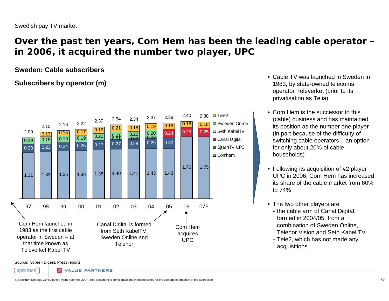### **Over the past ten years, Com Hem has been the leading cable operator – in 2006, it acquired the number two player, UPC**

#### **Sweden: Cable subscribers**

### **Subscribers by operator (m)**



- Cable TV was launched in Sweden in 1983, by state-owned telecoms operator Televerket (prior to its privatisation as Telia)
- Com Hem is the successor to this (cable) business and has maintained its position as the number one player (in part because of the difficulty of switching cable operators – an option for only about 20% of cable households)
- Following its acquisition of #2 player UPC in 2006, Com Hem has increased its share of the cable market from 60% to 74%
- The two other players are
- the cable arm of Canal Digital, formed in 2004/05, from a combination of Sweden Online, Telenor Vision and Seth Kabel TV
- Tele2, which has not made any acquisitions

Source: Screen Digest, Press reports

spectrum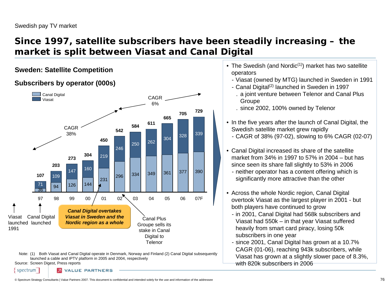spectrum

### **Since 1997, satellite subscribers have been steadily increasing – the market is split between Viasat and Canal Digital**

### **Subscribers by operator (000s)**



- **Sweden: Satellite Competition** entity and the Swedish (and Nordic<sup>(1)</sup>) market has two satellite operators
	- Viasat (owned by MTG) launched in Sweden in 1991
	- Canal Digital<sup>(2)</sup> launched in Sweden in 1997 . a joint venture between Telenor and Canal Plus **Groupe**
	- . since 2002, 100% owned by Telenor
	- In the five years after the launch of Canal Digital, the Swedish satellite market grew rapidly
	- CAGR of 38% (97-02), slowing to 6% CAGR (02-07)
	- Canal Digital increased its share of the satellite market from 34% in 1997 to 57% in 2004 – but has since seen its share fall slightly to 53% in 2006
		- neither operator has a content offering which is significantly more attractive than the other
	- Across the whole Nordic region, Canal Digital overtook Viasat as the largest player in 2001 - but both players have continued to grow
	- in 2001, Canal Digital had 568k subscribers and Viasat had 550k – in that year Viasat suffered heavily from smart card piracy, losing 50k subscribers in one year
	- since 2001, Canal Digital has grown at a 10.7% CAGR (01-06), reaching 943k subscribers, while Viasat has grown at a slightly slower pace of 8.3%, with 820k subscribers in 2006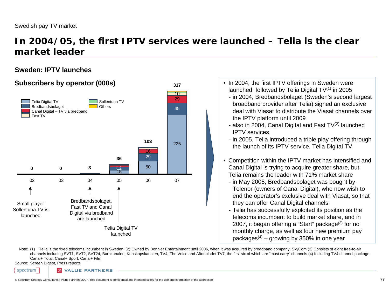### **In 2004/05, the first IPTV services were launched – Telia is the clear market leader**

#### **Sweden: IPTV launches**



| • In 2004, the first IPTV offerings in Sweden were<br>launched, followed by Telia Digital $TV^{(1)}$ in 2005<br>- in 2004, Bredbandsbolaget (Sweden's second largest<br>broadband provider after Telia) signed an exclusive<br>deal with Viasat to distribute the Viasat channels over<br>the IPTV platform until 2009<br>- also in 2004, Canal Digital and Fast $TV(2)$ launched<br><b>IPTV</b> services<br>- in 2005, Telia introduced a triple play offering through<br>the launch of its IPTV service, Telia Digital TV<br>• Competition within the IPTV market has intensified and<br>Canal Digital is trying to acquire greater share, but<br>Telia remains the leader with 71% market share<br>- in May 2005, Bredbandsbolaget was bought by<br>Telenor (owners of Canal Digital), who now wish to<br>end the operator's exclusive deal with Viasat, so that<br>they can offer Canal Digital channels<br>- Telia has successfully exploited its position as the<br>telecoms incumbent to build market share, and in<br>2007, it began offering a "Start" package <sup>(3)</sup> for no<br>monthly charge, as well as four new premium pay<br>packages <sup><math>(4)</math></sup> – growing by 350% in one year |
|------------------------------------------------------------------------------------------------------------------------------------------------------------------------------------------------------------------------------------------------------------------------------------------------------------------------------------------------------------------------------------------------------------------------------------------------------------------------------------------------------------------------------------------------------------------------------------------------------------------------------------------------------------------------------------------------------------------------------------------------------------------------------------------------------------------------------------------------------------------------------------------------------------------------------------------------------------------------------------------------------------------------------------------------------------------------------------------------------------------------------------------------------------------------------------------------------------------------|
|                                                                                                                                                                                                                                                                                                                                                                                                                                                                                                                                                                                                                                                                                                                                                                                                                                                                                                                                                                                                                                                                                                                                                                                                                        |

Note: (1) Telia is the fixed telecoms incumbent in Sweden (2) Owned by Bonnier Entertainment until 2006, when it was acquired by broadband company, SkyCom (3) Consists of eight free-to-air channels including SVT1, SVT2, SVT24, Barnkanalen, Kunskapskanalen, TV4, The Voice and Aftonbladet TV7; the first six of which are "must carry" channels (4) Including TV4 channel package, Canal+ Total, Canal+ Sport, Canal+ Film

Source: Screen Digest, Press reports

spectrum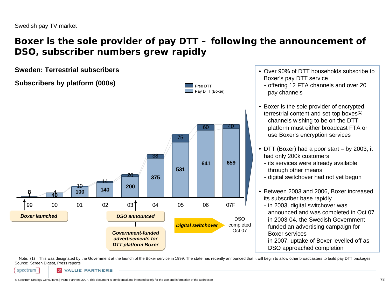## **Boxer is the sole provider of pay DTT – following the announcement of DSO, subscriber numbers grew rapidly**





- Over 90% of DTT households subscribe to Boxer's pay DTT service
	- offering 12 FTA channels and over 20 pay channels
- Boxer is the sole provider of encrypted terrestrial content and set-top boxes $(1)$ 
	- channels wishing to be on the DTT platform must either broadcast FTA or use Boxer's encryption services
- DTT (Boxer) had a poor start by 2003, it had only 200k customers
	- its services were already available through other means
	- digital switchover had not yet begun
- Between 2003 and 2006, Boxer increased its subscriber base rapidly
	- in 2003, digital switchover was announced and was completed in Oct 07
	- in 2003-04, the Swedish Government funded an advertising campaign for Boxer services
	- in 2007, uptake of Boxer levelled off as DSO approached completion

Note: (1) This was designated by the Government at the launch of the Boxer service in 1999. The state has recently announced that it will begin to allow other broadcasters to build pay DTT packages Source: Screen Digest, Press reports

spectrum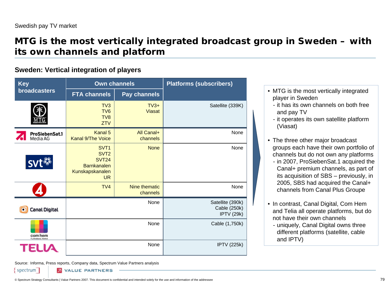### **MTG is the most vertically integrated broadcast group in Sweden – with its own channels and platform**

### **Sweden: Vertical integration of players**

| <b>Key</b>                      | <b>Own channels</b>                                                                                        |                           | <b>Platforms (subscribers)</b>                        |
|---------------------------------|------------------------------------------------------------------------------------------------------------|---------------------------|-------------------------------------------------------|
| <b>broadcasters</b>             | <b>FTA channels</b>                                                                                        | <b>Pay channels</b>       |                                                       |
|                                 | TV3<br>TV <sub>6</sub><br>TV <sub>8</sub><br><b>ZTV</b>                                                    | $TV3+$<br><b>Viasat</b>   | Satellite (339K)                                      |
| ProSiebenSat.1<br>Media AG      | Kanal 5<br><b>Kanal 9/The Voice</b>                                                                        | All Canal+<br>channels    | None                                                  |
|                                 | SVT <sub>1</sub><br>SVT <sub>2</sub><br><b>SVT24</b><br><b>Barnkanalen</b><br>Kunskapskanalen<br><b>UR</b> | <b>None</b>               | None                                                  |
|                                 | TV <sub>4</sub>                                                                                            | Nine thematic<br>channels | None                                                  |
| Canal Digital                   |                                                                                                            | None                      | Satellite (390k)<br>Cable (250k)<br><b>IPTV (29k)</b> |
| com hem<br>Tv, Bradisand, Taleh |                                                                                                            | None                      | Cable (1,750k)                                        |
| None                            |                                                                                                            |                           | <b>IPTV (225k)</b>                                    |

- MTG is the most vertically integrated player in Sweden
	- it has its own channels on both free and pay TV
	- it operates its own satellite platform (Viasat)
- The three other major broadcast groups each have their own portfolio of channels but do not own any platforms
- in 2007, ProSiebenSat.1 acquired the Canal+ premium channels, as part of its acquisition of SBS – previously, in 2005, SBS had acquired the Canal+ channels from Canal Plus Groupe
- In contrast, Canal Digital, Com Hem and Telia all operate platforms, but do not have their own channels
	- uniquely, Canal Digital owns three different platforms (satellite, cable and IPTV)

Source: Informa, Press reports, Company data, Spectrum Value Partners analysis

spectrum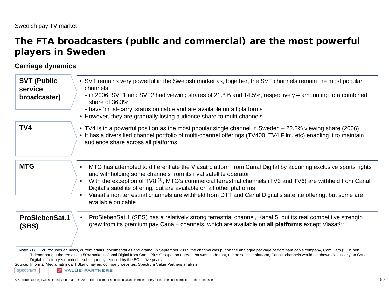### **The FTA broadcasters (public and commercial) are the most powerful players in Sweden**

### **Carriage dynamics**

| <b>SVT (Public</b><br>service<br>broadcaster) | • SVT remains very powerful in the Swedish market as, together, the SVT channels remain the most popular<br>channels<br>- in 2006, SVT1 and SVT2 had viewing shares of 21.8% and 14.5%, respectively – amounting to a combined<br>share of 36.3%                                                                                                                                                                                                                                                                                                                                                   |
|-----------------------------------------------|----------------------------------------------------------------------------------------------------------------------------------------------------------------------------------------------------------------------------------------------------------------------------------------------------------------------------------------------------------------------------------------------------------------------------------------------------------------------------------------------------------------------------------------------------------------------------------------------------|
|                                               | - have 'must-carry' status on cable and are available on all platforms<br>• However, they are gradually losing audience share to multi-channels                                                                                                                                                                                                                                                                                                                                                                                                                                                    |
| TV4                                           | • TV4 is in a powerful position as the most popular single channel in Sweden – 22.2% viewing share (2006)<br>• It has a diversified channel portfolio of multi-channel offerings (TV400, TV4 Film, etc) enabling it to maintain<br>audience share across all platforms                                                                                                                                                                                                                                                                                                                             |
| <b>MTG</b>                                    | MTG has attempted to differentiate the Viasat platform from Canal Digital by acquiring exclusive sports rights<br>and withholding some channels from its rival satellite operator<br>With the exception of TV8 <sup>(1)</sup> , MTG's commercial terrestrial channels (TV3 and TV6) are withheld from Canal<br>Digital's satellite offering, but are available on all other platforms<br>Viasat's non terrestrial channels are withheld from DTT and Canal Digital's satellite offering, but some are<br>available on cable                                                                        |
| <b>ProSiebenSat.1</b><br>(SBS)                | ProSiebenSat.1 (SBS) has a relatively strong terrestrial channel, Kanal 5, but its real competitive strength<br>grew from its premium pay Canal+ channels, which are available on all platforms except Viasat <sup>(2)</sup>                                                                                                                                                                                                                                                                                                                                                                       |
| spectrum                                      | Note: (1) TV8 focuses on news, current affairs, documentaries and drama. In September 2007, the channel was put on the analogue package of dominant cable company, Com Hem (2) When<br>Telenor bought the remaining 50% stake in Canal Digital from Canal Plus Groupe, an agreement was made that, on the satellite platform, Canal+ channels would be shown exclusively on Canal<br>Digital for a ten year period - subsequently reduced by the EC to five years<br>Source: Informa, Mediamatningar I Skandinavien, company websites, Spectrum Value Partners analysis<br><b>E</b> VALUE PARTNERS |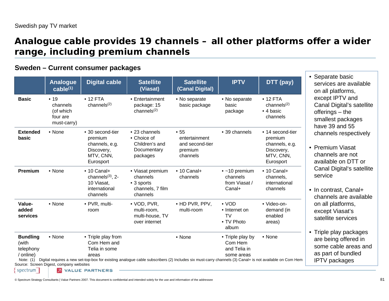### **Analogue cable provides 19 channels – all other platforms offer a wider range, including premium channels**

#### **Sweden – Current consumer packages**

|                                                                               | Analogue<br>$cable^{(1)}$                                | <b>Digital cable</b>                                                                   | <b>Satellite</b><br>(Viasat)                                               | <b>Satellite</b><br>(Canal Digital)                                                                                                                              | <b>IPTV</b>                                                  | DTT (pay)                                                                             |
|-------------------------------------------------------------------------------|----------------------------------------------------------|----------------------------------------------------------------------------------------|----------------------------------------------------------------------------|------------------------------------------------------------------------------------------------------------------------------------------------------------------|--------------------------------------------------------------|---------------------------------------------------------------------------------------|
| <b>Basic</b>                                                                  | • 19<br>channels<br>(of which<br>four are<br>must-carry) | $• 12$ FTA<br>channels $(2)$                                                           | • Entertainment<br>package: 15<br>channels $(2)$                           | • No separate<br>basic package                                                                                                                                   | • No separate<br>basic<br>package                            | $• 12$ FTA<br>channels $(2)$<br>• 4 basic<br>channels                                 |
| <b>Extended</b><br>basic                                                      | • None                                                   | • 30 second-tier<br>premium<br>channels, e.g.<br>Discovery,<br>MTV, CNN,<br>Eurosport  | • 23 channels<br>• Choice of<br>Children's and<br>Documentary<br>packages  | •55<br>entertainment<br>and second-tier<br>premium<br>channels                                                                                                   | • 39 channels                                                | • 14 second-tier<br>premium<br>channels, e.g.<br>Discovery,<br>MTV, CNN,<br>Eurosport |
| Premium                                                                       | • None                                                   | $\cdot$ 10 Canal+<br>channels $(3)$ , 2-<br>10 Viasat,<br>international<br>channels    | • Viasat premium<br>channels<br>• 3 sports<br>channels, 7 film<br>channels | $\cdot$ 10 Canal+<br>channels                                                                                                                                    | $\bullet$ ~10 premium<br>channels<br>from Viasat /<br>Canal+ | $\cdot$ 10 Canal+<br>channels,<br>international<br>channels                           |
| Value-<br>added<br>services                                                   | • None                                                   | • PVR, multi-<br>room                                                                  | • VOD, PVR,<br>multi-room,<br>multi-house, TV<br>over internet             | • HD PVR, PPV,<br>multi-room                                                                                                                                     | $\bullet$ VOD<br>• Internet on<br>TV<br>• TV Photo<br>album  | · Video-on-<br>demand (in<br>enabled<br>areas)                                        |
| <b>Bundling</b><br>(with<br>telephony<br>/ online)<br>Note: $(1)$<br>spectrum | • None<br>Source: Screen Digest, company websites        | • Triple play from<br>Com Hem and<br>Telia in some<br>areas<br><b>2</b> VALUE PARTNERS |                                                                            | • None<br>Digital requires a new set-top-box for existing analogue cable subscribers (2) Includes six must-carry channels (3) Canal+ is not available on Com Hem | • Triple play by<br>Com Hem<br>and Telia in<br>some areas    | • None                                                                                |

eparate basic rvices are available all platforms, cept IPTV and anal Digital's satellite ferings – the nallest packages we 39 and  $55$ annels respectively

- emium Viasat annels are not railable on DTT or anal Digital's satellite rvice
- contrast, Canal+ annels are available all platforms, cept Viasat's tellite services
- iple play packages e being offered in me cable areas and part of bundled TV packages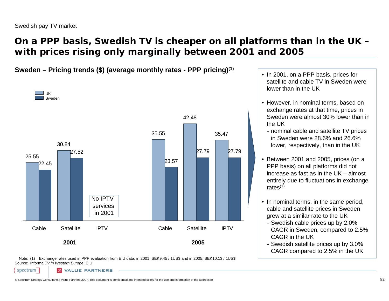spectrum

## **On a PPP basis, Swedish TV is cheaper on all platforms than in the UK – with prices rising only marginally between 2001 and 2005**

### **Sweden – Pricing trends (\$) (average monthly rates - PPP pricing)(1)** •



Note: (1) Exchange rates used in PPP evaluation from EIU data: in 2001; SEK9.45 / 1US\$ and in 2005; SEK10.13 / 1US\$ Source: Informa *TV in Western Europe*, EIU

- In 2001, on a PPP basis, prices for satellite and cable TV in Sweden were lower than in the UK
- However, in nominal terms, based on exchange rates at that time, prices in Sweden were almost 30% lower than in the UK
	- nominal cable and satellite TV prices in Sweden were 28.6% and 26.6% lower, respectively, than in the UK
- Between 2001 and 2005, prices (on a PPP basis) on all platforms did not increase as fast as in the UK – almost entirely due to fluctuations in exchange rates $(1)$
- In nominal terms, in the same period, cable and satellite prices in Sweden grew at a similar rate to the UK
	- Swedish cable prices up by 2.0% CAGR in Sweden, compared to 2.5% CAGR in the UK
	- Swedish satellite prices up by 3.0% CAGR compared to 2.5% in the UK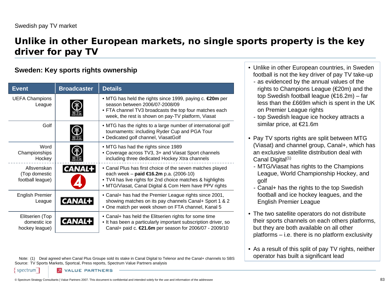spectrum

## **Unlike in other European markets, no single sports property is the key driver for pay TV**

### **Sweden: Key sports rights ownership**

| <b>Event</b>                                      | <b>Broadcaster</b> | <b>Details</b>                                                                                                                                                                                                              |
|---------------------------------------------------|--------------------|-----------------------------------------------------------------------------------------------------------------------------------------------------------------------------------------------------------------------------|
| <b>UEFA Champions</b><br>League                   |                    | • MTG has held the rights since 1999, paying c. <b>€20m</b> per<br>season between 2006/07-2008/09<br>• FTA channel TV3 broadcasts the top four matches each<br>week, the rest is shown on pay-TV platform, Viasat           |
| Golf                                              |                    | • MTG has the rights to a large number of international golf<br>tournaments: including Ryder Cup and PGA Tour<br>• Dedicated golf channel, ViasatGolf                                                                       |
| Word<br>Championships<br>Hockey                   |                    | • MTG has had the rights since 1989<br>• Coverage across TV3, 3+ and Viasat Sport channels<br>including three dedicated Hockey Xtra channels                                                                                |
| Allsvenskan<br>(Top domestic<br>football league)  | <b>CANAL</b>       | • Canal Plus has first choice of the seven matches played<br>each week – paid €16.2m p.a. $(2006-10)$<br>. TV4 has live rights for 2nd choice matches & highlights<br>• MTG/Viasat, Canal Digital & Com Hem have PPV rights |
| <b>English Premier</b><br>League                  |                    | • Canal+ has had the Premier League rights since 2001,<br>showing matches on its pay channels Canal+ Sport 1 & 2<br>• One match per week shown on FTA channel, Kanal 5                                                      |
| Elitserien (Top<br>domestic ice<br>hockey league) |                    | • Canal+ has held the Elitserien rights for some time<br>. It has been a particularly important subscription driver, so<br>Canal+ paid c. <b>€21.6m</b> per season for 2006/07 - 2009/10                                    |

Note: (1) D[eal agreed when Canal Plus Groupe sold its stake in Canal Digital to Telenor and the Canal+ channels to SBS](http://tv4.se/) Source: TV Sports Markets, Sportcal, Press reports, Spectrum Value Partners analysis

- Unlike in other European countries, in Sweden football is not the key driver of pay TV take-up
	- as evidenced by the annual values of the rights to Champions League (€20m) and the top Swedish football league (€16.2m) – far less than the £669m which is spent in the UK on Premier League rights
	- top Swedish league ice hockey attracts a similar price, at €21.6m
- Pay TV sports rights are split between MTG (Viasat) and channel group, Canal+, which has an exclusive satellite distribution deal with Canal Digital<sup>(1)</sup>
	- MTG/Viasat has rights to the Champions League, World Championship Hockey, and golf
	- Canal+ has the rights to the top Swedish football and ice hockey leagues, and the English Premier League
- The two satellite operators do not distribute their sports channels on each others platforms, but they are both available on all other platforms – i.e. there is no platform exclusivity
- As a result of this split of pay TV rights, neither operator has built a significant lead

© Spectrum Strategy Consultants | Value Partners 2007. This document is confidential and intended solely for the use and information of the addressee 83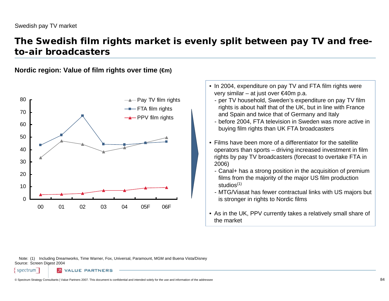### **The Swedish film rights market is evenly split between pay TV and freeto-air broadcasters**

**Nordic region: Value of film rights over time (€m)**



- In 2004, expenditure on pay TV and FTA film rights were very similar – at just over €40m p.a.
	- per TV household, Sweden's expenditure on pay TV film rights is about half that of the UK, but in line with France and Spain and twice that of Germany and Italy
	- before 2004, FTA television in Sweden was more active in buying film rights than UK FTA broadcasters
- Films have been more of a differentiator for the satellite operators than sports – driving increased investment in film rights by pay TV broadcasters (forecast to overtake FTA in 2006)
	- Canal+ has a strong position in the acquisition of premium films from the majority of the major US film production studios $(1)$
	- MTG/Viasat has fewer contractual links with US majors but is stronger in rights to Nordic films
- As in the UK, PPV currently takes a relatively small share of the market

Note: (1) Including Dreamworks, Time Warner, Fox, Universal, Paramount, MGM and Buena Vista/Disney Source: Screen Digest 2004

ALUE PARTNERS

spectrum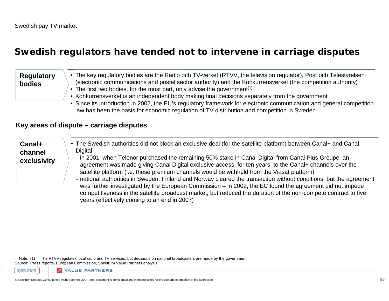### **Swedish regulators have tended not to intervene in carriage disputes**

#### • The key regulatory bodies are the Radio och TV-verket (RTVV, the television regulator), Post och Telestyrelsen (electronic communications and postal sector authority) and the Konkurrensverket (the competition authority) • The first two bodies, for the most part, only advise the government<sup>(1)</sup> **Regulatory bodies**

- Konkurrensverket is an independent body making final decisions separately from the government
- Since its introduction in 2002, the EU's regulatory framework for electronic communication and general competition law has been the basis for economic regulation of TV distribution and competition in Sweden

#### **Key areas of dispute – carriage disputes**

#### **Canal+ channel exclusivity** • The Swedish authorities did not block an exclusive deal (for the satellite platform) between Canal+ and Canal **Digital** - in 2001, when Telenor purchased the remaining 50% stake in Canal Digital from Canal Plus Groupe, an agreement was made giving Canal Digital exclusive access, for ten years, to the Canal+ channels over the satellite platform (i.e. these premium channels would be withheld from the Viasat platform) - national authorities in Sweden, Finland and Norway cleared the transaction without conditions, but the agreement was further investigated by the European Commission – in 2002, the EC found the agreement did not impede competitiveness in the satellite broadcast market, but reduced the duration of the non-compete contract to five

Note: (1) The RTVV regulates local radio and TV services, but decisions on national broadcasters are made by the government Source: Press reports, European Commission, Spectrum Value Partners analysis

years (effectively coming to an end in 2007)

spectrum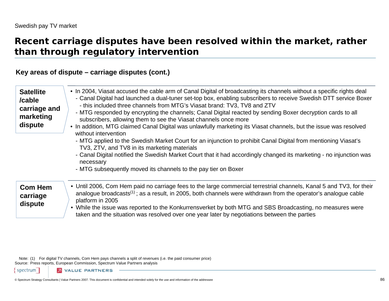### **Recent carriage disputes have been resolved within the market, rather than through regulatory intervention**

### **Key areas of dispute – carriage disputes (cont.)**

| <b>Satellite</b><br>/cable<br>carriage and<br>marketing<br>dispute | • In 2004, Viasat accused the cable arm of Canal Digital of broadcasting its channels without a specific rights deal<br>- Canal Digital had launched a dual-tuner set-top box, enabling subscribers to receive Swedish DTT service Boxer<br>- this included three channels from MTG's Viasat brand: TV3, TV8 and ZTV<br>- MTG responded by encrypting the channels; Canal Digital reacted by sending Boxer decryption cards to all<br>subscribers, allowing them to see the Viasat channels once more<br>• In addition, MTG claimed Canal Digital was unlawfully marketing its Viasat channels, but the issue was resolved<br>without intervention<br>- MTG applied to the Swedish Market Court for an injunction to prohibit Canal Digital from mentioning Viasat's<br>TV3, ZTV, and TV8 in its marketing materials<br>- Canal Digital notified the Swedish Market Court that it had accordingly changed its marketing - no injunction was<br>necessary<br>- MTG subsequently moved its channels to the pay tier on Boxer |
|--------------------------------------------------------------------|----------------------------------------------------------------------------------------------------------------------------------------------------------------------------------------------------------------------------------------------------------------------------------------------------------------------------------------------------------------------------------------------------------------------------------------------------------------------------------------------------------------------------------------------------------------------------------------------------------------------------------------------------------------------------------------------------------------------------------------------------------------------------------------------------------------------------------------------------------------------------------------------------------------------------------------------------------------------------------------------------------------------------|
| <b>Com Hem</b><br>carriage<br>dispute                              | • Until 2006, Com Hem paid no carriage fees to the large commercial terrestrial channels, Kanal 5 and TV3, for their<br>analogue broadcasts <sup>(1)</sup> ; as a result, in 2005, both channels were withdrawn from the operator's analogue cable<br>platform in 2005<br>• While the issue was reported to the Konkurrensverket by both MTG and SBS Broadcasting, no measures were<br>taken and the situation was resolved over one year later by negotiations between the parties                                                                                                                                                                                                                                                                                                                                                                                                                                                                                                                                        |

Note: (1) For digital TV channels, Com Hem pays channels a split of revenues (i.e. the paid consumer price) Source: Press reports, European Commission, Spectrum Value Partners analysis

spectrum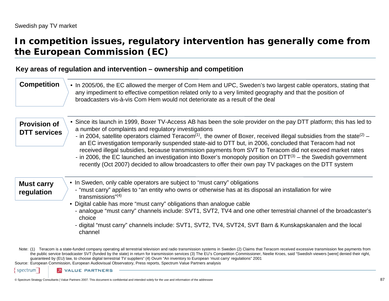### **In competition issues, regulatory intervention has generally come from the European Commission (EC)**

#### **Key areas of regulation and intervention – ownership and competition**

| <b>Competition</b>                         | • In 2005/06, the EC allowed the merger of Com Hem and UPC, Sweden's two largest cable operators, stating that<br>any impediment to effective competition related only to a very limited geography and that the position of<br>broadcasters vis-à-vis Com Hem would not deteriorate as a result of the deal                                                                                                                                                                                                                                                                                                                                                                                                                                                                          |
|--------------------------------------------|--------------------------------------------------------------------------------------------------------------------------------------------------------------------------------------------------------------------------------------------------------------------------------------------------------------------------------------------------------------------------------------------------------------------------------------------------------------------------------------------------------------------------------------------------------------------------------------------------------------------------------------------------------------------------------------------------------------------------------------------------------------------------------------|
| <b>Provision of</b><br><b>DTT</b> services | • Since its launch in 1999, Boxer TV-Access AB has been the sole provider on the pay DTT platform; this has led to<br>a number of complaints and regulatory investigations<br>- in 2004, satellite operators claimed Teracom <sup>(1)</sup> , the owner of Boxer, received illegal subsidies from the state <sup>(2)</sup> –<br>an EC investigation temporarily suspended state-aid to DTT but, in 2006, concluded that Teracom had not<br>received illegal subsidies, because transmission payments from SVT to Teracom did not exceed market rates<br>- in 2006, the EC launched an investigation into Boxer's monopoly position on $DTT^{(3)}$ – the Swedish government<br>recently (Oct 2007) decided to allow broadcasters to offer their own pay TV packages on the DTT system |
| <b>Must carry</b><br>regulation            | • In Sweden, only cable operators are subject to "must carry" obligations<br>- "must carry" applies to "an entity who owns or otherwise has at its disposal an installation for wire<br>transmissions" $(4)$<br>• Digital cable has more "must carry" obligations than analogue cable<br>- analogue "must carry" channels include: SVT1, SVT2, TV4 and one other terrestrial channel of the broadcaster's<br>choice<br>- digital "must carry" channels include: SVT1, SVT2, TV4, SVT24, SVT Barn & Kunskapskanalen and the local<br>channel                                                                                                                                                                                                                                          |
| spectrum                                   | Note: (1) Teracom is a state-funded company operating all terrestrial television and radio transmission systems in Sweden (2) Claims that Teracom received excessive transmission fee payments from<br>the public service broadcaster SVT (funded by the state) in return for transmission services (3) The EU's Competition Commissioner, Neelie Kroes, said "Swedish viewers [were] denied their right,<br>guaranteed by (EU) law, to choose digital terrestrial TV suppliers" (4) Ovum "An inventory to European 'must carry' regulations" 2001<br>Source: European Commission, European Audiovisual Observatory, Press reports, Spectrum Value Partners analysis<br><b>2</b> VALUE PARTNERS                                                                                      |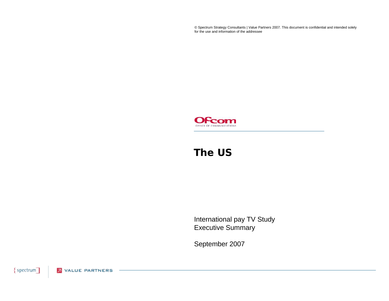© Spectrum Strategy Consultants | Value Partners 2007. This document is confidential and intended solely for the use and information of the addressee



### **The US**

International pay TV Study Executive Summary

September 2007

{spectrum] **2** VALUE PARTNERS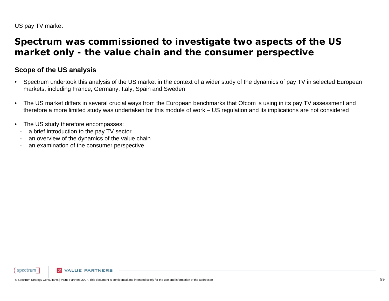### **Spectrum was commissioned to investigate two aspects of the US market only - the value chain and the consumer perspective**

#### **Scope of the US analysis**

- • Spectrum undertook this analysis of the US market in the context of a wider study of the dynamics of pay TV in selected Europea n markets, including France, Germany, Italy, Spain and Sweden
- • The US market differs in several crucial ways from the European benchmarks that Ofcom is using in its pay TV assessment and therefore a more limited study was undertaken for this module of work – US regulation and its implications are not considered
- • The US study therefore encompasses:
	- a brief introduction to the pay TV sector
- an overview of the dynamics of the value chain
- an examination of the consumer perspective

**VALUE PARTNERS** 

spectrum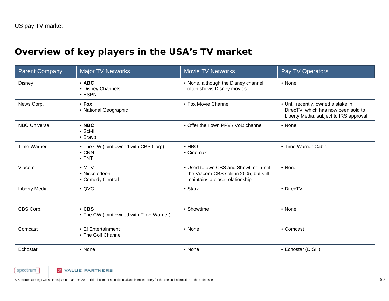# **Overview of key players in the USA's TV market**

| <b>Parent Company</b> | <b>Major TV Networks</b>                                               | <b>Movie TV Networks</b>                                                                                           | Pay TV Operators                                                                                                    |
|-----------------------|------------------------------------------------------------------------|--------------------------------------------------------------------------------------------------------------------|---------------------------------------------------------------------------------------------------------------------|
| <b>Disney</b>         | $\cdot$ ABC<br>• Disney Channels<br>$\cdot$ ESPN                       | • None, although the Disney channel<br>often shows Disney movies                                                   | • None                                                                                                              |
| News Corp.            | $•$ Fox<br>• National Geographic                                       | • Fox Movie Channel                                                                                                | • Until recently, owned a stake in<br>DirecTV, which has now been sold to<br>Liberty Media, subject to IRS approval |
| <b>NBC Universal</b>  | $\cdot$ NBC<br>• Sci-fi<br>• Bravo                                     | • Offer their own PPV / VoD channel                                                                                | • None                                                                                                              |
| <b>Time Warner</b>    | • The CW (joint owned with CBS Corp)<br>$\bullet$ CNN<br>$\bullet$ TNT | $\bullet$ HBO<br>• Cinemax                                                                                         | • Time Warner Cable                                                                                                 |
| Viacom                | $\bullet$ MTV<br>• Nickelodeon<br>• Comedy Central                     | • Used to own CBS and Showtime, until<br>the Viacom-CBS split in 2005, but still<br>maintains a close relationship | • None                                                                                                              |
| <b>Liberty Media</b>  | $\bullet$ QVC                                                          | • Starz                                                                                                            | • DirecTV                                                                                                           |
| CBS Corp.             | $\cdot$ CBS<br>• The CW (joint owned with Time Warner)                 | • Showtime                                                                                                         | • None                                                                                                              |
| Comcast               | • E! Entertainment<br>• The Golf Channel                               | • None                                                                                                             | • Comcast                                                                                                           |
| Echostar              | • None                                                                 | • None                                                                                                             | • Echostar (DISH)                                                                                                   |

{ spectrum । **2** VALUE PARTNERS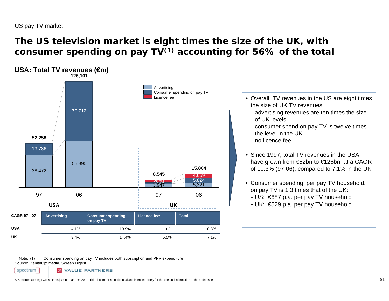## **The US television market is eight times the size of the UK, with consumer spending on pay TV(1) accounting for 56% of the total**



Note: (1) Source: ZenithOptimedia, Screen Digest Consumer spending on pay TV includes both subscription and PPV expenditure

spectrum

**2 VALUE PARTNERS**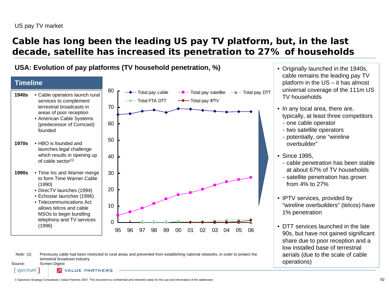## **Cable has long been the leading US pay TV platform, but, in the last decade, satellite has increased its penetration to 27% of households**





Note: (1) Previously cable had been restricted to rural areas and prevented from establishing national networks, in order to protect the terrestrial broadcast industry

Source:Screen Digest

spectrum

- Originally launched in the 1940s, cable remains the leading pay TV platform in the US – it has almost universal coverage of the 111m US TV households
- In any local area, there are, typically, at least three competitors
	- one cable operator
	- two satellite operators
	- potentially, one "wireline overbuilder"
- Since 1995,
	- cable penetration has been stable at about 67% of TV households
	- satellite penetration has grown from 4% to 27%
- IPTV services, provided by "wireline overbuilders" (telcos) have 1% penetration
- DTT services launched in the late 90s, but have not gained significant share due to poor reception and a low installed base of terrestrial aerials (due to the scale of cable operations)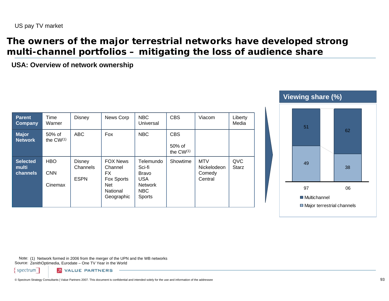### **The owners of the major terrestrial networks have developed strong multi-channel portfolios – mitigating the loss of audience share**

**USA: Overview of network ownership**

| <b>Parent</b><br><b>Company</b> | Time<br>Warner                      | <b>Disney</b>                            | News Corp                                                                        | <b>NBC</b><br>Universal                                                                     | <b>CBS</b>                             | Viacom                                         | Liberty<br>Media    |
|---------------------------------|-------------------------------------|------------------------------------------|----------------------------------------------------------------------------------|---------------------------------------------------------------------------------------------|----------------------------------------|------------------------------------------------|---------------------|
| <b>Major</b><br><b>Network</b>  | 50% of<br>the $CW^{(1)}$            | <b>ABC</b>                               | Fox                                                                              | <b>NBC</b>                                                                                  | <b>CBS</b><br>50% of<br>the $CW^{(1)}$ |                                                |                     |
| Selected<br>multi<br>channels   | <b>HBO</b><br><b>CNN</b><br>Cinemax | <b>Disney</b><br>Channels<br><b>ESPN</b> | <b>FOX News</b><br>Channel<br>FX.<br>Fox Sports<br>Net<br>National<br>Geographic | Telemundo<br>Sci-fi<br><b>Bravo</b><br><b>USA</b><br>Network<br><b>NBC</b><br><b>Sports</b> | Showtime                               | <b>MTV</b><br>Nickelodeon<br>Comedy<br>Central | QVC<br><b>Starz</b> |



Note: (1) Network formed in 2006 from the merger of the UPN and the WB networks Source: ZenithOptimedia, Eurodate – One TV Year in the World

spectrum

**2** VALUE PARTNERS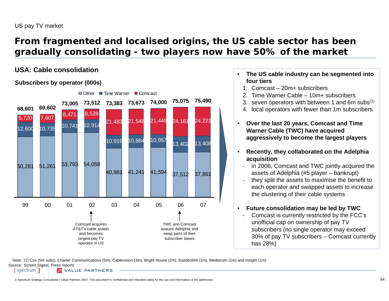## **From fragmented and localised origins, the US cable sector has been gradually consolidating - two players now have 50% of the market**

#### **USA: Cable consolidation**

#### **Subscribers by operator (000s)**



- • **The US cable industry can be segmented into four tiers**
	- 1. Comcast 20m+ subscribers
	- 2. Time Warner Cable 10m+ subscribers
	- 3. seven operators with between 1 and 6m subs $(1)$
	- 4. local operators with fewer than 1m subscribers
- $\bullet$  **Over the last 20 years, Comcast and Time Warner Cable (TWC) have acquired aggressively to become the largest players**
- • **Recently, they collaborated on the Adelphia acquisition**
	- in 2006, Comcast and TWC jointly acquired the assets of Adelphia (#5 player – bankrupt)
	- they split the assets to maximise the benefit to each operator and swapped assets to increase the clustering of their cable systems

#### $\bullet$ **Future consolidation may be led by TWC**

- Comcast is currently restricted by the FCC's unofficial cap on ownership of pay TV subscribers (no single operator may exceed 30% of pay TV subscribers – Comcast currently has 28%)

Note: (1) Cox (5m subs), Charter Communications (5m), Cablevision (3m), Bright House (2m), Suddenlink (1m), Mediacom (1m) and Insight (1m) Source: Screen Digest, Press reports spectrum **2 VALUE PARTNERS**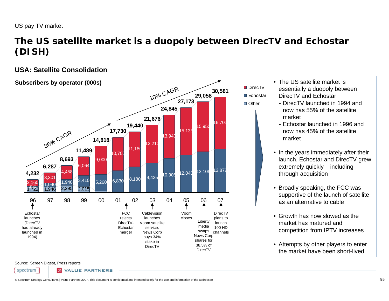## **The US satellite market is a duopoly between DirecTV and Echostar (DISH)**

38.5% of DirecTV

### **USA: Satellite Consolidation**

#### **1,232** 3,301 4,458 3,410 5,260 6,830 8,180 9,425 10,905 12,040 13,105 13,878<br>2,160 1,040 1,940 3,410 5,260 6,830 8,180 9,425 10,905 12,040 13,105 13,878 6,064 9,000 10,700 11,180 12,210 13,940 15,133 15,953 16,703 **4,232 6,287 8,693 11,489 14,818 17,730 19,440 21,676 24,845 27,173 29,05830,581** 96 97 98 99 00 01 02 03 04 05 06 07**Subscribers by operator (000s)** DirecTV plans to launch 100 HD channelsLiberty media swaps News Corp shares for Voom closesCablevision launches Voom satellite service; News Corp buys 34% stake in **FCC** rejects DirecTV-**Echostar** merger 36% CAGR  $10$ o/o CAGR Echostar launches (DirecTV had already launched in 1994)

Source: Screen Digest, Press reports

spectrum

**2 VALUE PARTNERS** 

DirecTV

• The US satellite market is essentially a duopoly between DirecTV and Echostar

DirecTV ■ Echostar □ Other

- DirecTV launched in 1994 and now has 55% of the satellite market
- Echostar launched in 1996 and now has 45% of the satellite market
- In the years immediately after their launch, Echostar and DirecTV grew extremely quickly – including through acquisition
- Broadly speaking, the FCC was supportive of the launch of satellite as an alternative to cable
- Growth has now slowed as the market has matured and competition from IPTV increases
- Attempts by other players to enter the market have been short-lived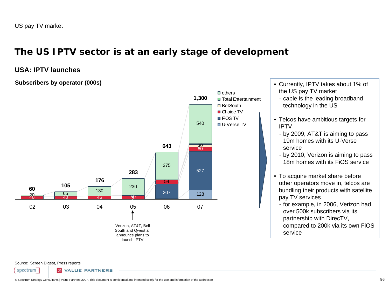### **The US IPTV sector is at an early stage of development**

#### **USA: IPTV launches**

#### **Subscribers by operator (000s)**



- Currently, IPTV takes about 1% of the US pay TV market
	- cable is the leading broadband technology in the US
- Telcos have ambitious targets for IPTV
	- by 2009, AT&T is aiming to pass 19m homes with its U-Verse service
	- by 2010, Verizon is aiming to pass 18m homes with its FiOS service
- To acquire market share before other operators move in, telcos are bundling their products with satellite pay TV services
- for example, in 2006, Verizon had over 500k subscribers via its partnership with DirecTV, compared to 200k via its own FiOS

service

Source: Screen Digest, Press reports

spectrum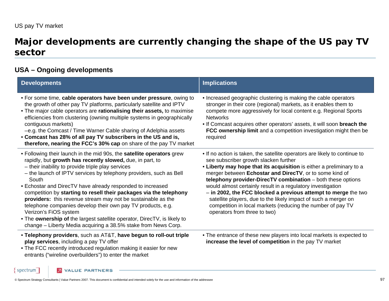### **Major developments are currently changing the shape of the US pay TV sector**

### **USA – Ongoing developments**

| <b>Developments</b>                                                                                                                                                                                                                                                                                                                                                                                                                                                                                                                                                                                                                                                                                              | <b>Implications</b>                                                                                                                                                                                                                                                                                                                                                                                                                                                                                                                                                                                                      |
|------------------------------------------------------------------------------------------------------------------------------------------------------------------------------------------------------------------------------------------------------------------------------------------------------------------------------------------------------------------------------------------------------------------------------------------------------------------------------------------------------------------------------------------------------------------------------------------------------------------------------------------------------------------------------------------------------------------|--------------------------------------------------------------------------------------------------------------------------------------------------------------------------------------------------------------------------------------------------------------------------------------------------------------------------------------------------------------------------------------------------------------------------------------------------------------------------------------------------------------------------------------------------------------------------------------------------------------------------|
| • For some time, cable operators have been under pressure, owing to<br>the growth of other pay TV platforms, particularly satellite and IPTV<br>• The major cable operators are rationalising their assets, to maximise<br>efficiencies from clustering (owning multiple systems in geographically<br>contiguous markets)<br>-e.g. the Comcast / Time Warner Cable sharing of Adelphia assets<br>• Comcast has 28% of all pay TV subscribers in the US and is,<br>therefore, nearing the FCC's 30% cap on share of the pay TV market                                                                                                                                                                             | • Increased geographic clustering is making the cable operators<br>stronger in their core (regional) markets, as it enables them to<br>compete more aggressively for local content e.g. Regional Sports<br><b>Networks</b><br>. If Comcast acquires other operators' assets, it will soon breach the<br>FCC ownership limit and a competition investigation might then be<br>required                                                                                                                                                                                                                                    |
| • Following their launch in the mid 90s, the satellite operators grew<br>rapidly, but growth has recently slowed, due, in part, to<br>- their inability to provide triple play services<br>- the launch of IPTV services by telephony providers, such as Bell<br>South<br>• Echostar and DirecTV have already responded to increased<br>competition by starting to resell their packages via the telephony<br>providers: this revenue stream may not be sustainable as the<br>telephone companies develop their own pay TV products, e.g.<br>Verizon's FiOS system<br>• The ownership of the largest satellite operator, DirecTV, is likely to<br>change – Liberty Media acquiring a 38.5% stake from News Corp. | . If no action is taken, the satellite operators are likely to continue to<br>see subscriber growth slacken further<br>. Liberty may hope that its acquisition is either a preliminary to a<br>merger between Echostar and DirecTV, or to some kind of<br>telephony provider-DirecTV combination - both these options<br>would almost certainly result in a regulatory investigation<br>- in 2002, the FCC blocked a previous attempt to merge the two<br>satellite players, due to the likely impact of such a merger on<br>competition in local markets (reducing the number of pay TV<br>operators from three to two) |
| • Telephony providers, such as AT&T, have begun to roll-out triple<br>play services, including a pay TV offer<br>• The FCC recently introduced regulation making it easier for new<br>entrants ("wireline overbuilders") to enter the market                                                                                                                                                                                                                                                                                                                                                                                                                                                                     | • The entrance of these new players into local markets is expected to<br>increase the level of competition in the pay TV market                                                                                                                                                                                                                                                                                                                                                                                                                                                                                          |

**2** VALUE PARTNERS

 $spectrum$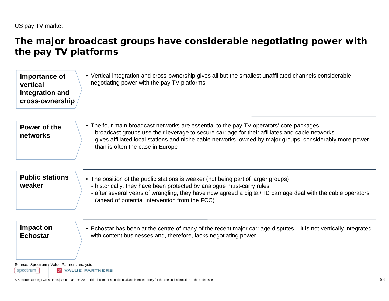### **The major broadcast groups have considerable negotiating power with the pay TV platforms**

| • The four main broadcast networks are essential to the pay TV operators' core packages<br>Power of the<br>- broadcast groups use their leverage to secure carriage for their affiliates and cable networks<br>networks<br>than is often the case in Europe<br><b>Public stations</b><br>• The position of the public stations is weaker (not being part of larger groups)<br>weaker<br>- historically, they have been protected by analogue must-carry rules<br>(ahead of potential intervention from the FCC) | Importance of<br>vertical<br>integration and<br>cross-ownership | • Vertical integration and cross-ownership gives all but the smallest unaffiliated channels considerable<br>negotiating power with the pay TV platforms |
|-----------------------------------------------------------------------------------------------------------------------------------------------------------------------------------------------------------------------------------------------------------------------------------------------------------------------------------------------------------------------------------------------------------------------------------------------------------------------------------------------------------------|-----------------------------------------------------------------|---------------------------------------------------------------------------------------------------------------------------------------------------------|
|                                                                                                                                                                                                                                                                                                                                                                                                                                                                                                                 |                                                                 | - gives affiliated local stations and niche cable networks, owned by major groups, considerably more power                                              |
|                                                                                                                                                                                                                                                                                                                                                                                                                                                                                                                 |                                                                 | - after several years of wrangling, they have now agreed a digital/HD carriage deal with the cable operators                                            |
| Impact on<br><b>Echostar</b><br>with content businesses and, therefore, lacks negotiating power                                                                                                                                                                                                                                                                                                                                                                                                                 |                                                                 | • Echostar has been at the centre of many of the recent major carriage disputes – it is not vertically integrated                                       |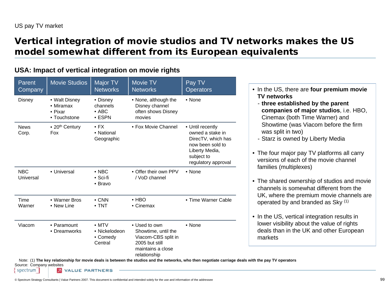## **Vertical integration of movie studios and TV networks makes the US model somewhat different from its European equivalents**

### **USA: Impact of vertical integration on movie rights**

| Parent<br>Company       | <b>Movie Studios</b>                                          | Major TV<br><b>Networks</b>                           | Movie TV<br><b>Networks</b>                                                                                        | Pay TV<br><b>Operators</b>                                                                                                            |
|-------------------------|---------------------------------------------------------------|-------------------------------------------------------|--------------------------------------------------------------------------------------------------------------------|---------------------------------------------------------------------------------------------------------------------------------------|
| <b>Disney</b>           | • Walt Disney<br>$\bullet$ Miramax<br>• Pixar<br>• Touchstone | • Disney<br>channels<br>$\bullet$ ABC<br>$\cdot$ ESPN | • None, although the<br>Disney channel<br>often shows Disney<br>movies                                             | • None                                                                                                                                |
| <b>News</b><br>Corp.    | • 20 <sup>th</sup> Century<br>Fox                             | $\bullet$ FX<br>• National<br>Geographic              | • Fox Movie Channel                                                                                                | • Until recently<br>owned a stake in<br>DirecTV, which has<br>now been sold to<br>Liberty Media,<br>subject to<br>regulatory approval |
| <b>NBC</b><br>Universal | • Universal                                                   | $\bullet$ NBC<br>$\bullet$ Sci-fi<br>• Bravo          | • Offer their own PPV<br>/ VoD channel                                                                             | • None                                                                                                                                |
| Time<br>Warner          | • Warner Bros<br>• New Line                                   | $\bullet$ CNN<br>$\bullet$ TNT                        | $\cdot$ HBO<br>• Cinemax                                                                                           | • Time Warner Cable                                                                                                                   |
| Viacom                  | • Paramount<br>• Dreamworks                                   | $\bullet$ MTV<br>• Nickelodeon<br>• Comedy<br>Central | • Used to own<br>Showtime, until the<br>Viacom-CBS split in<br>2005 but still<br>maintains a close<br>relationship | • None                                                                                                                                |

- In the US, there are **four premium movie TV networks**
- **three established by the parent companies of major studios**, i.e. HBO, Cinemax (both Time Warner) and Showtime (was Viacom before the firm was split in two)
- Starz is owned by Liberty Media
- The four major pay TV platforms all carry versions of each of the movie channel families (multiplexes)
- The shared ownership of studios and movie channels is somewhat different from the UK, where the premium movie channels are operated by and branded as Sky (1)
- In the US, vertical integration results in lower visibility about the value of rights deals than in the UK and other European markets

Note: (1) **The key relationship for movie deals is between the studios and the networks, who then negotiate carriage deals with the pay TV operators**

Source: Company websites spectrum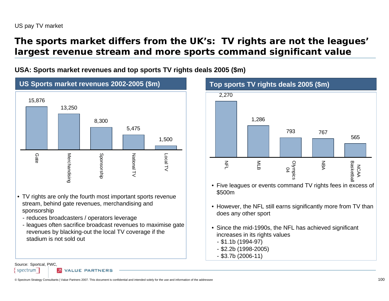### **The sports market differs from the UK's: TV rights are not the leagues' largest revenue stream and more sports command significant value**

**USA: Sports market revenues and top sports TV rights deals 2005 (\$m)** 



- TV rights are only the fourth most important sports revenue stream, behind gate revenues, merchandising and sponsorship
	- reduces broadcasters / operators leverage
	- leagues often sacrifice broadcast revenues to maximise gate revenues by blacking-out the local TV coverage if the stadium is not sold out



- Five leagues or events command TV rights fees in excess of \$500m
- However, the NFL still earns significantly more from TV than does any other sport
- Since the mid-1990s, the NFL has achieved significant increases in its rights values
- \$1.1b (1994-97)
- \$2.2b (1998-2005)
- \$3.7b (2006-11)

**VALUE PARTNERS** 

Source: Sportcal, PWC,

spectrum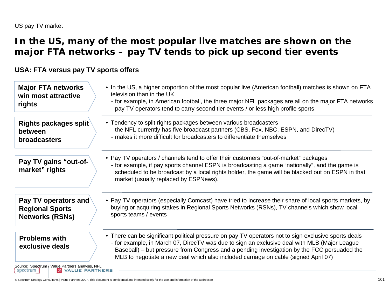### **In the US, many of the most popular live matches are shown on the major FTA networks – pay TV tends to pick up second tier events**

#### **USA: FTA versus pay TV sports offers**

| <b>Major FTA networks</b><br>win most attractive<br>rights                                 | • In the US, a higher proportion of the most popular live (American football) matches is shown on FTA<br>television than in the UK<br>- for example, in American football, the three major NFL packages are all on the major FTA networks<br>- pay TV operators tend to carry second tier events / or less high profile sports                                                             |
|--------------------------------------------------------------------------------------------|--------------------------------------------------------------------------------------------------------------------------------------------------------------------------------------------------------------------------------------------------------------------------------------------------------------------------------------------------------------------------------------------|
| Rights packages split<br>between<br><b>broadcasters</b>                                    | • Tendency to split rights packages between various broadcasters<br>- the NFL currently has five broadcast partners (CBS, Fox, NBC, ESPN, and DirecTV)<br>- makes it more difficult for broadcasters to differentiate themselves                                                                                                                                                           |
| Pay TV gains "out-of-<br>market" rights                                                    | • Pay TV operators / channels tend to offer their customers "out-of-market" packages<br>- for example, if pay sports channel ESPN is broadcasting a game "nationally", and the game is<br>scheduled to be broadcast by a local rights holder, the game will be blacked out on ESPN in that<br>market (usually replaced by ESPNews).                                                        |
| Pay TV operators and<br><b>Regional Sports</b><br><b>Networks (RSNs)</b>                   | • Pay TV operators (especially Comcast) have tried to increase their share of local sports markets, by<br>buying or acquiring stakes in Regional Sports Networks (RSNs), TV channels which show local<br>sports teams / events                                                                                                                                                             |
| <b>Problems with</b><br>exclusive deals<br>Source: Spectrum / Value Partners analysis, NFL | • There can be significant political pressure on pay TV operators not to sign exclusive sports deals<br>- for example, in March 07, DirecTV was due to sign an exclusive deal with MLB (Major League<br>Baseball) – but pressure from Congress and a pending investigation by the FCC persuaded the<br>MLB to negotiate a new deal which also included carriage on cable (signed April 07) |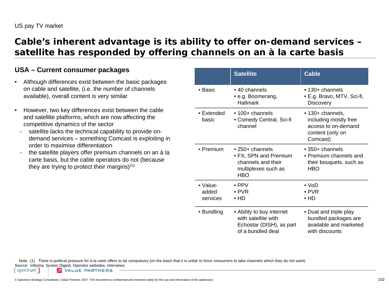### **Cable's inherent advantage is its ability to offer on-demand services – satellite has responded by offering channels on an à la carte basis**

#### **USA – Current consumer packages**

- $\bullet$  Although differences exist between the basic packages on cable and satellite, (i.e. the number of channels available), overall content is very similar
- • However, two key differences exist between the cable and satellite platforms, which are now affecting the competitive dynamics of the sector
	- satellite lacks the technical capability to provide ondemand services – something Comcast is exploiting in order to maximise differentiation
	- the satellite players offer premium channels on an à la carte basis, but the cable operators do not (because they are trying to protect their margins $(1)$

|                                       | <b>Satellite</b>                                                                                            | <b>Cable</b>                                                                                     |
|---------------------------------------|-------------------------------------------------------------------------------------------------------------|--------------------------------------------------------------------------------------------------|
| ∙ Basic                               | $\bullet$ 40 channels<br>• e.g. Boomerang,<br><b>Hallmark</b>                                               | $\bullet$ 130+ channels<br>• E.g. Bravo, MTV, Sci-fi,<br><b>Discovery</b>                        |
| $\bullet$ Extended<br>basic           | $\cdot$ 100+ channels<br>• Comedy Central, Sci-fi<br>channel                                                | • 130+ channels,<br>including mostly free<br>access to on-demand<br>content (only on<br>Comcast) |
| • Premium                             | $\bullet$ 250+ channels<br>• FX, SPN and Premium<br>channels and their<br>multiplexes such as<br><b>HBO</b> | $\bullet$ 350+ channels<br>• Premium channels and<br>their bouquets, such as<br><b>HBO</b>       |
| $\bullet$ Value-<br>added<br>services | $\bullet$ PPV<br>$\bullet$ PVR<br>$\bullet$ HD                                                              | ∙ VoD<br>$\bullet$ PVR<br>$\bullet$ HD                                                           |
| • Bundling                            | • Ability to buy internet<br>with satellite with<br>Echostar (DISH), as part<br>of a bundled deal           | • Dual and triple play<br>bundled packages are<br>available and marketed<br>with discounts       |

Note: (1) There is political pressure for à la carte offers to be compulsory (on the basis that it is unfair to force consumers to take channels which they do not want)

Source: Informa, Screen Digest, Operator websites, interviews spectrum